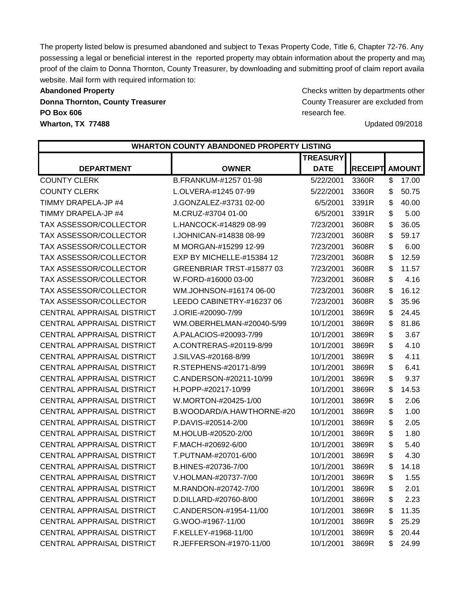The property listed below is presumed abandoned and subject to Texas Property Code, Title 6, Chapter 72-76. Any possessing a legal or beneficial interest in the reported property may obtain information about the property and may proof of the claim to Donna Thornton, County Treasurer, by downloading and submitting proof of claim report availa website. Mail form with required information to:

**PO Box 606** research fee. **Wharton, TX 77488** Updated 09/2018

Abandoned Property **Abandoned Property** Checks written by departments other **Donna Thornton, County Treasurer County Treasurer are excluded from**  $\blacksquare$  **County Treasurer are excluded from** 

|                                   | <b>WHARTON COUNTY ABANDONED PROPERTY LISTING</b> |                 |                |               |
|-----------------------------------|--------------------------------------------------|-----------------|----------------|---------------|
|                                   |                                                  | <b>TREASURY</b> |                |               |
| <b>DEPARTMENT</b>                 | <b>OWNER</b>                                     | <b>DATE</b>     | <b>RECEIPT</b> | <b>AMOUNT</b> |
| <b>COUNTY CLERK</b>               | B.FRANKUM-#1257 01-98                            | 5/22/2001       | 3360R          | \$<br>17.00   |
| <b>COUNTY CLERK</b>               | L.OLVERA-#1245 07-99                             | 5/22/2001       | 3360R          | \$<br>50.75   |
| TIMMY DRAPELA-JP #4               | J.GONZALEZ-#3731 02-00                           | 6/5/2001        | 3391R          | \$<br>40.00   |
| TIMMY DRAPELA-JP #4               | M.CRUZ-#3704 01-00                               | 6/5/2001        | 3391R          | \$<br>5.00    |
| TAX ASSESSOR/COLLECTOR            | L.HANCOCK-#14829 08-99                           | 7/23/2001       | 3608R          | \$<br>36.05   |
| TAX ASSESSOR/COLLECTOR            | I.JOHNICAN-#14838 08-99                          | 7/23/2001       | 3608R          | \$<br>59.17   |
| TAX ASSESSOR/COLLECTOR            | M MORGAN-#15299 12-99                            | 7/23/2001       | 3608R          | \$<br>6.00    |
| TAX ASSESSOR/COLLECTOR            | EXP BY MICHELLE-#15384 12                        | 7/23/2001       | 3608R          | \$<br>12.59   |
| TAX ASSESSOR/COLLECTOR            | GREENBRIAR TRST-#15877 03                        | 7/23/2001       | 3608R          | \$<br>11.57   |
| TAX ASSESSOR/COLLECTOR            | W.FORD-#16000 03-00                              | 7/23/2001       | 3608R          | \$<br>4.16    |
| TAX ASSESSOR/COLLECTOR            | WM.JOHNSON-#16174 06-00                          | 7/23/2001       | 3608R          | \$<br>16.12   |
| TAX ASSESSOR/COLLECTOR            | LEEDO CABINETRY-#16237 06                        | 7/23/2001       | 3608R          | \$<br>35.96   |
| <b>CENTRAL APPRAISAL DISTRICT</b> | J.ORIE-#20090-7/99                               | 10/1/2001       | 3869R          | \$<br>24.45   |
| <b>CENTRAL APPRAISAL DISTRICT</b> | WM.OBERHELMAN-#20040-5/99                        | 10/1/2001       | 3869R          | \$<br>81.86   |
| <b>CENTRAL APPRAISAL DISTRICT</b> | A.PALACIOS-#20093-7/99                           | 10/1/2001       | 3869R          | \$<br>3.67    |
| <b>CENTRAL APPRAISAL DISTRICT</b> | A.CONTRERAS-#20119-8/99                          | 10/1/2001       | 3869R          | \$<br>4.10    |
| <b>CENTRAL APPRAISAL DISTRICT</b> | J.SILVAS-#20168-8/99                             | 10/1/2001       | 3869R          | \$<br>4.11    |
| <b>CENTRAL APPRAISAL DISTRICT</b> | R.STEPHENS-#20171-8/99                           | 10/1/2001       | 3869R          | \$<br>6.41    |
| <b>CENTRAL APPRAISAL DISTRICT</b> | C.ANDERSON-#20211-10/99                          | 10/1/2001       | 3869R          | \$<br>9.37    |
| <b>CENTRAL APPRAISAL DISTRICT</b> | H.POPP-#20217-10/99                              | 10/1/2001       | 3869R          | \$<br>14.53   |
| <b>CENTRAL APPRAISAL DISTRICT</b> | W.MORTON-#20425-1/00                             | 10/1/2001       | 3869R          | \$<br>2.06    |
| <b>CENTRAL APPRAISAL DISTRICT</b> | B.WOODARD/A.HAWTHORNE-#20                        | 10/1/2001       | 3869R          | \$<br>1.00    |
| <b>CENTRAL APPRAISAL DISTRICT</b> | P.DAVIS-#20514-2/00                              | 10/1/2001       | 3869R          | \$<br>2.05    |
| <b>CENTRAL APPRAISAL DISTRICT</b> | M.HOLUB-#20520-2/00                              | 10/1/2001       | 3869R          | \$<br>1.80    |
| <b>CENTRAL APPRAISAL DISTRICT</b> | F.MACH-#20692-6/00                               | 10/1/2001       | 3869R          | \$<br>5.40    |
| <b>CENTRAL APPRAISAL DISTRICT</b> | T.PUTNAM-#20701-6/00                             | 10/1/2001       | 3869R          | \$<br>4.30    |
| <b>CENTRAL APPRAISAL DISTRICT</b> | B.HINES-#20736-7/00                              | 10/1/2001       | 3869R          | \$<br>14.18   |
| <b>CENTRAL APPRAISAL DISTRICT</b> | V.HOLMAN-#20737-7/00                             | 10/1/2001       | 3869R          | \$<br>1.55    |
| <b>CENTRAL APPRAISAL DISTRICT</b> | M.RANDON-#20742-7/00                             | 10/1/2001       | 3869R          | \$<br>2.01    |
| <b>CENTRAL APPRAISAL DISTRICT</b> | D.DILLARD-#20760-8/00                            | 10/1/2001       | 3869R          | \$<br>2.23    |
| CENTRAL APPRAISAL DISTRICT        | C.ANDERSON-#1954-11/00                           | 10/1/2001       | 3869R          | \$<br>11.35   |
| <b>CENTRAL APPRAISAL DISTRICT</b> | G.WOO-#1967-11/00                                | 10/1/2001       | 3869R          | \$<br>25.29   |
| CENTRAL APPRAISAL DISTRICT        | F.KELLEY-#1968-11/00                             | 10/1/2001       | 3869R          | 20.44<br>\$   |
| CENTRAL APPRAISAL DISTRICT        | R.JEFFERSON-#1970-11/00                          | 10/1/2001       | 3869R          | 24.99<br>\$   |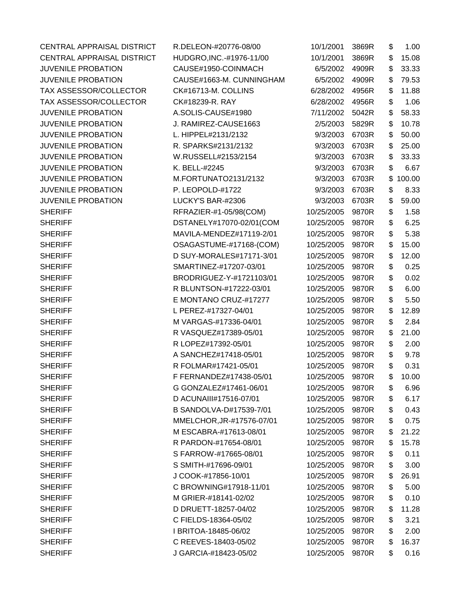| CENTRAL APPRAISAL DISTRICT | R.DELEON-#20776-08/00      | 10/1/2001  | 3869R | \$<br>1.00   |
|----------------------------|----------------------------|------------|-------|--------------|
| CENTRAL APPRAISAL DISTRICT | HUDGRO, INC. - #1976-11/00 | 10/1/2001  | 3869R | \$<br>15.08  |
| <b>JUVENILE PROBATION</b>  | CAUSE#1950-COINMACH        | 6/5/2002   | 4909R | \$<br>33.33  |
| <b>JUVENILE PROBATION</b>  | CAUSE#1663-M. CUNNINGHAM   | 6/5/2002   | 4909R | \$<br>79.53  |
| TAX ASSESSOR/COLLECTOR     | CK#16713-M. COLLINS        | 6/28/2002  | 4956R | \$<br>11.88  |
| TAX ASSESSOR/COLLECTOR     | CK#18239-R. RAY            | 6/28/2002  | 4956R | \$<br>1.06   |
| <b>JUVENILE PROBATION</b>  | A.SOLIS-CAUSE#1980         | 7/11/2002  | 5042R | \$<br>58.33  |
| <b>JUVENILE PROBATION</b>  | J. RAMIREZ-CAUSE1663       | 2/5/2003   | 5829R | \$<br>10.78  |
| <b>JUVENILE PROBATION</b>  | L. HIPPEL#2131/2132        | 9/3/2003   | 6703R | \$<br>50.00  |
| <b>JUVENILE PROBATION</b>  | R. SPARKS#2131/2132        | 9/3/2003   | 6703R | \$<br>25.00  |
| <b>JUVENILE PROBATION</b>  | W.RUSSELL#2153/2154        | 9/3/2003   | 6703R | \$<br>33.33  |
| <b>JUVENILE PROBATION</b>  | K. BELL-#2245              | 9/3/2003   | 6703R | \$<br>6.67   |
| <b>JUVENILE PROBATION</b>  | M.FORTUNATO2131/2132       | 9/3/2003   | 6703R | \$<br>100.00 |
| <b>JUVENILE PROBATION</b>  | P. LEOPOLD-#1722           | 9/3/2003   | 6703R | \$<br>8.33   |
| <b>JUVENILE PROBATION</b>  | LUCKY'S BAR-#2306          | 9/3/2003   | 6703R | \$<br>59.00  |
| <b>SHERIFF</b>             | RFRAZIER-#1-05/98(COM)     | 10/25/2005 | 9870R | \$<br>1.58   |
| <b>SHERIFF</b>             | DSTANELY#17070-02/01(COM   | 10/25/2005 | 9870R | \$<br>6.25   |
| <b>SHERIFF</b>             | MAVILA-MENDEZ#17119-2/01   | 10/25/2005 | 9870R | \$<br>5.38   |
| <b>SHERIFF</b>             | OSAGASTUME-#17168-(COM)    | 10/25/2005 | 9870R | \$<br>15.00  |
| <b>SHERIFF</b>             | D SUY-MORALES#17171-3/01   | 10/25/2005 | 9870R | \$<br>12.00  |
| <b>SHERIFF</b>             | SMARTINEZ-#17207-03/01     | 10/25/2005 | 9870R | \$<br>0.25   |
| <b>SHERIFF</b>             | BRODRIGUEZ-Y-#1721103/01   | 10/25/2005 | 9870R | \$<br>0.02   |
| <b>SHERIFF</b>             | R BLUNTSON-#17222-03/01    | 10/25/2005 | 9870R | \$<br>6.00   |
| <b>SHERIFF</b>             | E MONTANO CRUZ-#17277      | 10/25/2005 | 9870R | \$<br>5.50   |
| <b>SHERIFF</b>             | L PEREZ-#17327-04/01       | 10/25/2005 | 9870R | \$<br>12.89  |
| <b>SHERIFF</b>             | M VARGAS-#17336-04/01      | 10/25/2005 | 9870R | \$<br>2.84   |
| <b>SHERIFF</b>             | R VASQUEZ#17389-05/01      | 10/25/2005 | 9870R | \$<br>21.00  |
| <b>SHERIFF</b>             | R LOPEZ#17392-05/01        | 10/25/2005 | 9870R | \$<br>2.00   |
| <b>SHERIFF</b>             | A SANCHEZ#17418-05/01      | 10/25/2005 | 9870R | \$<br>9.78   |
| <b>SHERIFF</b>             | R FOLMAR#17421-05/01       | 10/25/2005 | 9870R | \$<br>0.31   |
| <b>SHERIFF</b>             | F FERNANDEZ#17438-05/01    | 10/25/2005 | 9870R | \$<br>10.00  |
| <b>SHERIFF</b>             | G GONZALEZ#17461-06/01     | 10/25/2005 | 9870R | \$<br>6.96   |
| <b>SHERIFF</b>             | D ACUNAIII#17516-07/01     | 10/25/2005 | 9870R | \$<br>6.17   |
| <b>SHERIFF</b>             | B SANDOLVA-D#17539-7/01    | 10/25/2005 | 9870R | \$<br>0.43   |
| <b>SHERIFF</b>             | MMELCHOR, JR-#17576-07/01  | 10/25/2005 | 9870R | \$<br>0.75   |
| <b>SHERIFF</b>             | M ESCABRA-#17613-08/01     | 10/25/2005 | 9870R | \$<br>21.22  |
| <b>SHERIFF</b>             | R PARDON-#17654-08/01      | 10/25/2005 | 9870R | \$<br>15.78  |
| <b>SHERIFF</b>             | S FARROW-#17665-08/01      | 10/25/2005 | 9870R | \$<br>0.11   |
| <b>SHERIFF</b>             | S SMITH-#17696-09/01       | 10/25/2005 | 9870R | \$<br>3.00   |
| <b>SHERIFF</b>             | J COOK-#17856-10/01        | 10/25/2005 | 9870R | \$<br>26.91  |
| <b>SHERIFF</b>             | C BROWNING#17918-11/01     | 10/25/2005 | 9870R | \$<br>5.00   |
| <b>SHERIFF</b>             | M GRIER-#18141-02/02       | 10/25/2005 | 9870R | \$<br>0.10   |
| <b>SHERIFF</b>             | D DRUETT-18257-04/02       | 10/25/2005 | 9870R | \$<br>11.28  |
| <b>SHERIFF</b>             | C FIELDS-18364-05/02       | 10/25/2005 | 9870R | \$<br>3.21   |
| <b>SHERIFF</b>             | I BRITOA-18485-06/02       | 10/25/2005 | 9870R | \$<br>2.00   |
| <b>SHERIFF</b>             | C REEVES-18403-05/02       | 10/25/2005 | 9870R | \$<br>16.37  |
| <b>SHERIFF</b>             | J GARCIA-#18423-05/02      | 10/25/2005 | 9870R | \$<br>0.16   |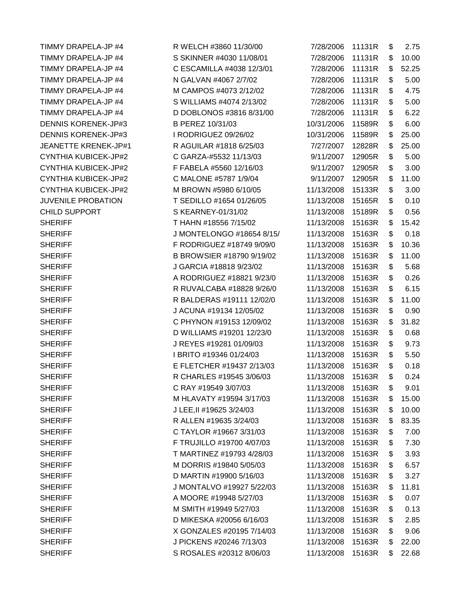TIMMY DRAPELA-JP #4 N GALVAN #4067 2/7/02 DENNIS KORENEK-JP#3 B PEREZ 10/31/03 DENNIS KORENEK-JP#3 I RODRIGUEZ 09/26/02 CYNTHIA KUBICEK-JP#2 C GARZA-#5532 11/13/03 CYNTHIA KUBICEK-JP#2 C MALONE #5787 1/9/04 CYNTHIA KUBICEK-JP#2 M BROWN #5980 6/10/05 CHILD SUPPORT S KEARNEY-01/31/02 SHERIFF T HAHN #18556 7/15/02 SHERIFF J GARCIA #18818 9/23/02 SHERIFF 1 BRITO #19346 01/24/03 SHERIFF C RAY #19549 3/07/03 SHERIFF J LEE, 11 #19625 3/24/03 SHERIFF R ALLEN #19635 3/24/03 SHERIFF M SMITH #19949 5/27/03

TIMMY DRAPELA-JP #4 R WELCH #3860 11/30/00 TIMMY DRAPELA-JP #4 S SKINNER #4030 11/08/01 TIMMY DRAPELA-JP #4 C ESCAMILLA #4038 12/3/01 TIMMY DRAPELA-JP #4 M CAMPOS #4073 2/12/02 TIMMY DRAPELA-JP #4 S WILLIAMS #4074 2/13/02 TIMMY DRAPELA-JP #4 D DOBLONOS #3816 8/31/00 JEANETTE KRENEK-JP#1 R AGUILAR #1818 6/25/03 CYNTHIA KUBICEK-JP#2 F FABELA #5560 12/16/03 JUVENILE PROBATION T SEDILLO #1654 01/26/05 SHERIFF J MONTELONGO #18654 8/15/ SHERIFF **F RODRIGUEZ #18749 9/09/0** SHERIFF B BROWSIER #18790 9/19/02 SHERIFF A RODRIGUEZ #18821 9/23/0 SHERIFF R RUVALCABA #18828 9/26/0 SHERIFF R BALDERAS #19111 12/02/0 SHERIFF J ACUNA #19134 12/05/02 SHERIFF C PHYNON #19153 12/09/02 SHERIFF D WILLIAMS #19201 12/23/0 SHERIFF **J REYES #19281 01/09/03** SHERIFF **E FLETCHER #19437 2/13/03** SHERIFF R CHARLES #19545 3/06/03 SHERIFF M HLAVATY #19594 3/17/03 SHERIFF **C TAYLOR #19667 3/31/03** SHERIFF **F TRUJILLO** #19700 4/07/03 SHERIFF T MARTINEZ #19793 4/28/03 SHERIFF M DORRIS #19840 5/05/03 SHERIFF D MARTIN #19900 5/16/03 SHERIFF J MONTALVO #19927 5/22/03 SHERIFF **A MOORE #19948 5/27/03** SHERIFF D MIKESKA #20056 6/16/03 SHERIFF X GONZALES #20195 7/14/03 SHERIFF J PICKENS #20246 7/13/03 SHERIFF SHERIFF SHERIFF S ROSALES #20312 8/06/03

| 7/28/2006  | 11131R | \$<br>2.75  |
|------------|--------|-------------|
| 7/28/2006  | 11131R | \$<br>10.00 |
| 7/28/2006  | 11131R | \$<br>52.25 |
| 7/28/2006  | 11131R | \$<br>5.00  |
| 7/28/2006  | 11131R | \$<br>4.75  |
| 7/28/2006  | 11131R | \$<br>5.00  |
| 7/28/2006  | 11131R | \$<br>6.22  |
| 10/31/2006 | 11589R | \$<br>6.00  |
| 10/31/2006 | 11589R | \$<br>25.00 |
| 7/27/2007  | 12828R | \$<br>25.00 |
| 9/11/2007  | 12905R | \$<br>5.00  |
| 9/11/2007  | 12905R | \$<br>3.00  |
| 9/11/2007  | 12905R | \$<br>11.00 |
| 11/13/2008 | 15133R | \$<br>3.00  |
| 11/13/2008 | 15165R | \$<br>0.10  |
| 11/13/2008 | 15189R | \$<br>0.56  |
| 11/13/2008 | 15163R | \$<br>15.42 |
| 11/13/2008 | 15163R | \$<br>0.18  |
| 11/13/2008 | 15163R | \$<br>10.36 |
| 11/13/2008 | 15163R | \$<br>11.00 |
| 11/13/2008 | 15163R | \$<br>5.68  |
| 11/13/2008 | 15163R | \$<br>0.26  |
| 11/13/2008 | 15163R | \$<br>6.15  |
| 11/13/2008 | 15163R | \$<br>11.00 |
| 11/13/2008 | 15163R | \$<br>0.90  |
| 11/13/2008 | 15163R | \$<br>31.82 |
| 11/13/2008 | 15163R | \$<br>0.68  |
| 11/13/2008 | 15163R | \$<br>9.73  |
| 11/13/2008 | 15163R | \$<br>5.50  |
| 11/13/2008 | 15163R | \$<br>0.18  |
| 11/13/2008 | 15163R | \$<br>0.24  |
| 11/13/2008 | 15163R | \$<br>9.01  |
| 11/13/2008 | 15163R | \$<br>15.00 |
| 11/13/2008 | 15163R | \$<br>10.00 |
| 11/13/2008 | 15163R | \$<br>83.35 |
| 11/13/2008 | 15163R | \$<br>7.00  |
| 11/13/2008 | 15163R | \$<br>7.30  |
| 11/13/2008 | 15163R | \$<br>3.93  |
| 11/13/2008 | 15163R | \$<br>6.57  |
| 11/13/2008 | 15163R | \$<br>3.27  |
| 11/13/2008 | 15163R | \$<br>11.81 |
| 11/13/2008 | 15163R | \$<br>0.07  |
| 11/13/2008 | 15163R | \$<br>0.13  |
| 11/13/2008 | 15163R | \$<br>2.85  |
| 11/13/2008 | 15163R | \$<br>9.06  |
| 11/13/2008 | 15163R | \$<br>22.00 |
| 11/13/2008 | 15163R | \$<br>22.68 |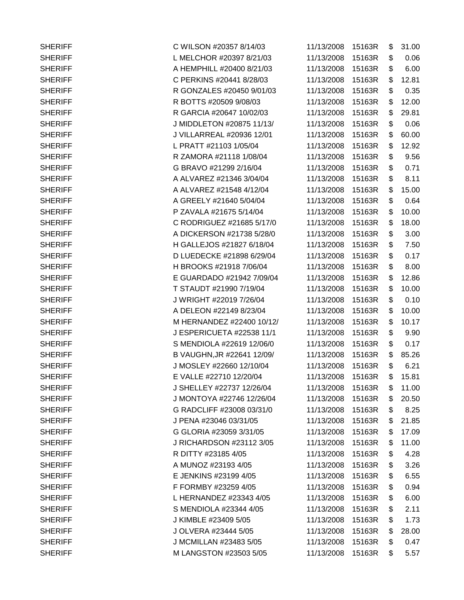| <b>SHERIFF</b> | C WILSON #20357 8/14/03    | 11/13/2008 | 15163R | \$<br>31.00 |
|----------------|----------------------------|------------|--------|-------------|
| <b>SHERIFF</b> | L MELCHOR #20397 8/21/03   | 11/13/2008 | 15163R | \$<br>0.06  |
| <b>SHERIFF</b> | A HEMPHILL #20400 8/21/03  | 11/13/2008 | 15163R | \$<br>6.00  |
| <b>SHERIFF</b> | C PERKINS #20441 8/28/03   | 11/13/2008 | 15163R | \$<br>12.81 |
| <b>SHERIFF</b> | R GONZALES #20450 9/01/03  | 11/13/2008 | 15163R | \$<br>0.35  |
| <b>SHERIFF</b> | R BOTTS #20509 9/08/03     | 11/13/2008 | 15163R | \$<br>12.00 |
| <b>SHERIFF</b> | R GARCIA #20647 10/02/03   | 11/13/2008 | 15163R | \$<br>29.81 |
| <b>SHERIFF</b> | J MIDDLETON #20875 11/13/  | 11/13/2008 | 15163R | \$<br>0.06  |
| <b>SHERIFF</b> | J VILLARREAL #20936 12/01  | 11/13/2008 | 15163R | \$<br>60.00 |
| <b>SHERIFF</b> | L PRATT #21103 1/05/04     | 11/13/2008 | 15163R | \$<br>12.92 |
| <b>SHERIFF</b> | R ZAMORA #21118 1/08/04    | 11/13/2008 | 15163R | \$<br>9.56  |
| <b>SHERIFF</b> | G BRAVO #21299 2/16/04     | 11/13/2008 | 15163R | \$<br>0.71  |
| <b>SHERIFF</b> | A ALVAREZ #21346 3/04/04   | 11/13/2008 | 15163R | \$<br>8.11  |
| <b>SHERIFF</b> | A ALVAREZ #21548 4/12/04   | 11/13/2008 | 15163R | \$<br>15.00 |
| <b>SHERIFF</b> | A GREELY #21640 5/04/04    | 11/13/2008 | 15163R | \$<br>0.64  |
| <b>SHERIFF</b> | P ZAVALA #21675 5/14/04    | 11/13/2008 | 15163R | \$<br>10.00 |
| <b>SHERIFF</b> | C RODRIGUEZ #21685 5/17/0  | 11/13/2008 | 15163R | \$<br>18.00 |
| <b>SHERIFF</b> | A DICKERSON #21738 5/28/0  | 11/13/2008 | 15163R | \$<br>3.00  |
| <b>SHERIFF</b> | H GALLEJOS #21827 6/18/04  | 11/13/2008 | 15163R | \$<br>7.50  |
| <b>SHERIFF</b> | D LUEDECKE #21898 6/29/04  | 11/13/2008 | 15163R | \$<br>0.17  |
| <b>SHERIFF</b> | H BROOKS #21918 7/06/04    | 11/13/2008 | 15163R | \$<br>8.00  |
| <b>SHERIFF</b> | E GUARDADO #21942 7/09/04  | 11/13/2008 | 15163R | \$<br>12.86 |
| <b>SHERIFF</b> | T STAUDT #21990 7/19/04    | 11/13/2008 | 15163R | \$<br>10.00 |
| <b>SHERIFF</b> | J WRIGHT #22019 7/26/04    | 11/13/2008 | 15163R | \$<br>0.10  |
| <b>SHERIFF</b> | A DELEON #22149 8/23/04    | 11/13/2008 | 15163R | \$<br>10.00 |
| <b>SHERIFF</b> | M HERNANDEZ #22400 10/12/  | 11/13/2008 | 15163R | \$<br>10.17 |
| <b>SHERIFF</b> | J ESPERICUETA #22538 11/1  | 11/13/2008 | 15163R | \$<br>9.90  |
| <b>SHERIFF</b> | S MENDIOLA #22619 12/06/0  | 11/13/2008 | 15163R | \$<br>0.17  |
| <b>SHERIFF</b> | B VAUGHN, JR #22641 12/09/ | 11/13/2008 | 15163R | \$<br>85.26 |
| <b>SHERIFF</b> | J MOSLEY #22660 12/10/04   | 11/13/2008 | 15163R | \$<br>6.21  |
| <b>SHERIFF</b> | E VALLE #22710 12/20/04    | 11/13/2008 | 15163R | \$<br>15.81 |
| <b>SHERIFF</b> | J SHELLEY #22737 12/26/04  | 11/13/2008 | 15163R | \$<br>11.00 |
| <b>SHERIFF</b> | J MONTOYA #22746 12/26/04  | 11/13/2008 | 15163R | \$<br>20.50 |
| <b>SHERIFF</b> | G RADCLIFF #23008 03/31/0  | 11/13/2008 | 15163R | \$<br>8.25  |
| <b>SHERIFF</b> | J PENA #23046 03/31/05     | 11/13/2008 | 15163R | \$<br>21.85 |
| <b>SHERIFF</b> | G GLORIA #23059 3/31/05    | 11/13/2008 | 15163R | \$<br>17.09 |
| <b>SHERIFF</b> | J RICHARDSON #23112 3/05   | 11/13/2008 | 15163R | \$<br>11.00 |
| <b>SHERIFF</b> | R DITTY #23185 4/05        | 11/13/2008 | 15163R | \$<br>4.28  |
| <b>SHERIFF</b> | A MUNOZ #23193 4/05        | 11/13/2008 | 15163R | \$<br>3.26  |
| <b>SHERIFF</b> | E JENKINS #23199 4/05      | 11/13/2008 | 15163R | \$<br>6.55  |
| <b>SHERIFF</b> | F FORMBY #23259 4/05       | 11/13/2008 | 15163R | \$<br>0.94  |
| <b>SHERIFF</b> | L HERNANDEZ #23343 4/05    | 11/13/2008 | 15163R | \$<br>6.00  |
| <b>SHERIFF</b> | S MENDIOLA #23344 4/05     | 11/13/2008 | 15163R | \$<br>2.11  |
| <b>SHERIFF</b> | J KIMBLE #23409 5/05       | 11/13/2008 | 15163R | \$<br>1.73  |
| <b>SHERIFF</b> | J OLVERA #23444 5/05       | 11/13/2008 | 15163R | \$<br>28.00 |
| <b>SHERIFF</b> | J MCMILLAN #23483 5/05     | 11/13/2008 | 15163R | \$<br>0.47  |
| <b>SHERIFF</b> | M LANGSTON #23503 5/05     | 11/13/2008 | 15163R | \$<br>5.57  |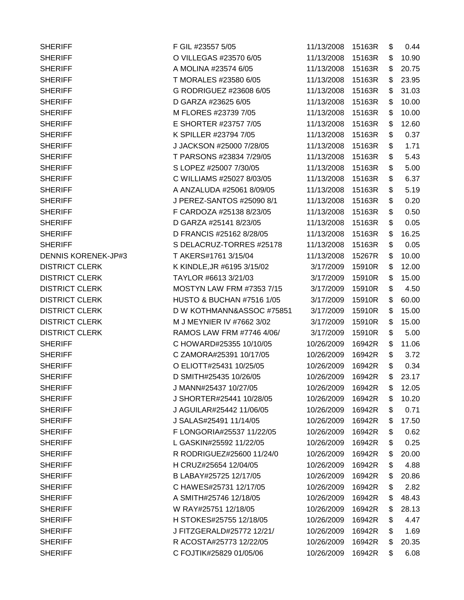| <b>SHERIFF</b>             | F GIL #23557 5/05                    | 11/13/2008 | 15163R | \$<br>0.44  |
|----------------------------|--------------------------------------|------------|--------|-------------|
| <b>SHERIFF</b>             | O VILLEGAS #23570 6/05               | 11/13/2008 | 15163R | \$<br>10.90 |
| <b>SHERIFF</b>             | A MOLINA #23574 6/05                 | 11/13/2008 | 15163R | \$<br>20.75 |
| <b>SHERIFF</b>             | T MORALES #23580 6/05                | 11/13/2008 | 15163R | \$<br>23.95 |
| <b>SHERIFF</b>             | G RODRIGUEZ #23608 6/05              | 11/13/2008 | 15163R | \$<br>31.03 |
| <b>SHERIFF</b>             | D GARZA #23625 6/05                  | 11/13/2008 | 15163R | \$<br>10.00 |
| <b>SHERIFF</b>             | M FLORES #23739 7/05                 | 11/13/2008 | 15163R | \$<br>10.00 |
| <b>SHERIFF</b>             | E SHORTER #23757 7/05                | 11/13/2008 | 15163R | \$<br>12.60 |
| <b>SHERIFF</b>             | K SPILLER #23794 7/05                | 11/13/2008 | 15163R | \$<br>0.37  |
| <b>SHERIFF</b>             | J JACKSON #25000 7/28/05             | 11/13/2008 | 15163R | \$<br>1.71  |
| <b>SHERIFF</b>             | T PARSONS #23834 7/29/05             | 11/13/2008 | 15163R | \$<br>5.43  |
| <b>SHERIFF</b>             | S LOPEZ #25007 7/30/05               | 11/13/2008 | 15163R | \$<br>5.00  |
| <b>SHERIFF</b>             | C WILLIAMS #25027 8/03/05            | 11/13/2008 | 15163R | \$<br>6.37  |
| <b>SHERIFF</b>             | A ANZALUDA #25061 8/09/05            | 11/13/2008 | 15163R | \$<br>5.19  |
| <b>SHERIFF</b>             | J PEREZ-SANTOS #25090 8/1            | 11/13/2008 | 15163R | \$<br>0.20  |
| <b>SHERIFF</b>             | F CARDOZA #25138 8/23/05             | 11/13/2008 | 15163R | \$<br>0.50  |
| <b>SHERIFF</b>             | D GARZA #25141 8/23/05               | 11/13/2008 | 15163R | \$<br>0.05  |
| <b>SHERIFF</b>             | D FRANCIS #25162 8/28/05             | 11/13/2008 | 15163R | \$<br>16.25 |
| <b>SHERIFF</b>             | S DELACRUZ-TORRES #25178             | 11/13/2008 | 15163R | \$<br>0.05  |
| <b>DENNIS KORENEK-JP#3</b> | T AKERS#1761 3/15/04                 | 11/13/2008 | 15267R | \$<br>10.00 |
| <b>DISTRICT CLERK</b>      | K KINDLE, JR #6195 3/15/02           | 3/17/2009  | 15910R | \$<br>12.00 |
| <b>DISTRICT CLERK</b>      | TAYLOR #6613 3/21/03                 | 3/17/2009  | 15910R | \$<br>15.00 |
| <b>DISTRICT CLERK</b>      | <b>MOSTYN LAW FRM #7353 7/15</b>     | 3/17/2009  | 15910R | \$<br>4.50  |
| <b>DISTRICT CLERK</b>      | <b>HUSTO &amp; BUCHAN #7516 1/05</b> | 3/17/2009  | 15910R | \$<br>60.00 |
| <b>DISTRICT CLERK</b>      | D W KOTHMANN&ASSOC #75851            | 3/17/2009  | 15910R | \$<br>15.00 |
| <b>DISTRICT CLERK</b>      | M J MEYNIER IV #7662 3/02            | 3/17/2009  | 15910R | \$<br>15.00 |
| <b>DISTRICT CLERK</b>      | RAMOS LAW FRM #7746 4/06/            | 3/17/2009  | 15910R | \$<br>5.00  |
| <b>SHERIFF</b>             | C HOWARD#25355 10/10/05              | 10/26/2009 | 16942R | \$<br>11.06 |
| <b>SHERIFF</b>             | C ZAMORA#25391 10/17/05              | 10/26/2009 | 16942R | \$<br>3.72  |
| <b>SHERIFF</b>             | O ELIOTT#25431 10/25/05              | 10/26/2009 | 16942R | \$<br>0.34  |
| <b>SHERIFF</b>             | D SMITH#25435 10/26/05               | 10/26/2009 | 16942R | \$<br>23.17 |
| <b>SHERIFF</b>             | J MANN#25437 10/27/05                | 10/26/2009 | 16942R | \$<br>12.05 |
| <b>SHERIFF</b>             | J SHORTER#25441 10/28/05             | 10/26/2009 | 16942R | \$<br>10.20 |
| <b>SHERIFF</b>             | J AGUILAR#25442 11/06/05             | 10/26/2009 | 16942R | \$<br>0.71  |
| <b>SHERIFF</b>             | J SALAS#25491 11/14/05               | 10/26/2009 | 16942R | \$<br>17.50 |
| <b>SHERIFF</b>             | F LONGORIA#25537 11/22/05            | 10/26/2009 | 16942R | \$<br>0.62  |
| <b>SHERIFF</b>             | L GASKIN#25592 11/22/05              | 10/26/2009 | 16942R | \$<br>0.25  |
| <b>SHERIFF</b>             | R RODRIGUEZ#25600 11/24/0            | 10/26/2009 | 16942R | \$<br>20.00 |
| <b>SHERIFF</b>             | H CRUZ#25654 12/04/05                | 10/26/2009 | 16942R | \$<br>4.88  |
| <b>SHERIFF</b>             | B LABAY#25725 12/17/05               | 10/26/2009 | 16942R | \$<br>20.86 |
| <b>SHERIFF</b>             | C HAWES#25731 12/17/05               | 10/26/2009 | 16942R | \$<br>2.82  |
| <b>SHERIFF</b>             | A SMITH#25746 12/18/05               | 10/26/2009 | 16942R | \$<br>48.43 |
| <b>SHERIFF</b>             | W RAY#25751 12/18/05                 | 10/26/2009 | 16942R | \$<br>28.13 |
| <b>SHERIFF</b>             | H STOKES#25755 12/18/05              | 10/26/2009 | 16942R | \$<br>4.47  |
| <b>SHERIFF</b>             | J FITZGERALD#25772 12/21/            | 10/26/2009 | 16942R | \$<br>1.69  |
| <b>SHERIFF</b>             | R ACOSTA#25773 12/22/05              | 10/26/2009 | 16942R | \$<br>20.35 |
| <b>SHERIFF</b>             | C FOJTIK#25829 01/05/06              | 10/26/2009 | 16942R | \$<br>6.08  |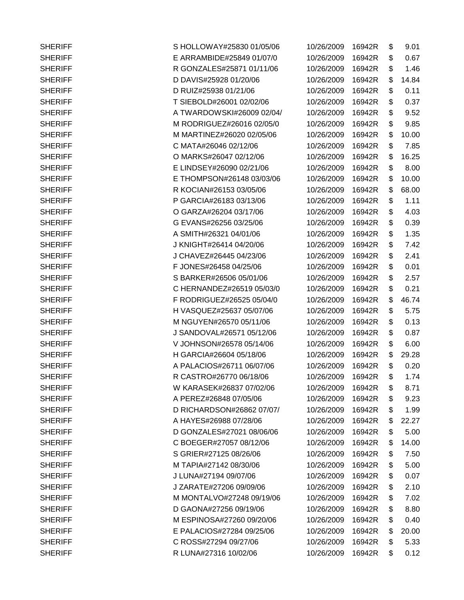| <b>SHERIFF</b> | S HOLLOWAY#25830 01/05/06 | 10/26/2009 | 16942R | \$<br>9.01  |
|----------------|---------------------------|------------|--------|-------------|
| <b>SHERIFF</b> | E ARRAMBIDE#25849 01/07/0 | 10/26/2009 | 16942R | \$<br>0.67  |
| <b>SHERIFF</b> | R GONZALES#25871 01/11/06 | 10/26/2009 | 16942R | \$<br>1.46  |
| <b>SHERIFF</b> | D DAVIS#25928 01/20/06    | 10/26/2009 | 16942R | \$<br>14.84 |
| <b>SHERIFF</b> | D RUIZ#25938 01/21/06     | 10/26/2009 | 16942R | \$<br>0.11  |
| <b>SHERIFF</b> | T SIEBOLD#26001 02/02/06  | 10/26/2009 | 16942R | \$<br>0.37  |
| <b>SHERIFF</b> | A TWARDOWSKI#26009 02/04/ | 10/26/2009 | 16942R | \$<br>9.52  |
| <b>SHERIFF</b> | M RODRIGUEZ#26016 02/05/0 | 10/26/2009 | 16942R | \$<br>9.85  |
| <b>SHERIFF</b> | M MARTINEZ#26020 02/05/06 | 10/26/2009 | 16942R | \$<br>10.00 |
| <b>SHERIFF</b> | C MATA#26046 02/12/06     | 10/26/2009 | 16942R | \$<br>7.85  |
| <b>SHERIFF</b> | O MARKS#26047 02/12/06    | 10/26/2009 | 16942R | \$<br>16.25 |
| <b>SHERIFF</b> | E LINDSEY#26090 02/21/06  | 10/26/2009 | 16942R | \$<br>8.00  |
| <b>SHERIFF</b> | E THOMPSON#26148 03/03/06 | 10/26/2009 | 16942R | \$<br>10.00 |
| <b>SHERIFF</b> | R KOCIAN#26153 03/05/06   | 10/26/2009 | 16942R | \$<br>68.00 |
| <b>SHERIFF</b> | P GARCIA#26183 03/13/06   | 10/26/2009 | 16942R | \$<br>1.11  |
| <b>SHERIFF</b> | O GARZA#26204 03/17/06    | 10/26/2009 | 16942R | \$<br>4.03  |
| <b>SHERIFF</b> | G EVANS#26256 03/25/06    | 10/26/2009 | 16942R | \$<br>0.39  |
| <b>SHERIFF</b> | A SMITH#26321 04/01/06    | 10/26/2009 | 16942R | \$<br>1.35  |
| <b>SHERIFF</b> | J KNIGHT#26414 04/20/06   | 10/26/2009 | 16942R | \$<br>7.42  |
| <b>SHERIFF</b> | J CHAVEZ#26445 04/23/06   | 10/26/2009 | 16942R | \$<br>2.41  |
| <b>SHERIFF</b> | F JONES#26458 04/25/06    | 10/26/2009 | 16942R | \$<br>0.01  |
| <b>SHERIFF</b> | S BARKER#26506 05/01/06   | 10/26/2009 | 16942R | \$<br>2.57  |
| <b>SHERIFF</b> | C HERNANDEZ#26519 05/03/0 | 10/26/2009 | 16942R | \$<br>0.21  |
| <b>SHERIFF</b> | F RODRIGUEZ#26525 05/04/0 | 10/26/2009 | 16942R | \$<br>46.74 |
| <b>SHERIFF</b> | H VASQUEZ#25637 05/07/06  | 10/26/2009 | 16942R | \$<br>5.75  |
| <b>SHERIFF</b> | M NGUYEN#26570 05/11/06   | 10/26/2009 | 16942R | \$<br>0.13  |
| <b>SHERIFF</b> | J SANDOVAL#26571 05/12/06 | 10/26/2009 | 16942R | \$<br>0.87  |
| <b>SHERIFF</b> | V JOHNSON#26578 05/14/06  | 10/26/2009 | 16942R | \$<br>6.00  |
| <b>SHERIFF</b> | H GARCIA#26604 05/18/06   | 10/26/2009 | 16942R | \$<br>29.28 |
| <b>SHERIFF</b> | A PALACIOS#26711 06/07/06 | 10/26/2009 | 16942R | \$<br>0.20  |
| <b>SHERIFF</b> | R CASTRO#26770 06/18/06   | 10/26/2009 | 16942R | \$<br>1.74  |
| <b>SHERIFF</b> | W KARASEK#26837 07/02/06  | 10/26/2009 | 16942R | \$<br>8.71  |
| <b>SHERIFF</b> | A PEREZ#26848 07/05/06    | 10/26/2009 | 16942R | \$<br>9.23  |
| <b>SHERIFF</b> | D RICHARDSON#26862 07/07/ | 10/26/2009 | 16942R | \$<br>1.99  |
| <b>SHERIFF</b> | A HAYES#26988 07/28/06    | 10/26/2009 | 16942R | \$<br>22.27 |
| <b>SHERIFF</b> | D GONZALES#27021 08/06/06 | 10/26/2009 | 16942R | \$<br>5.00  |
| <b>SHERIFF</b> | C BOEGER#27057 08/12/06   | 10/26/2009 | 16942R | \$<br>14.00 |
| <b>SHERIFF</b> | S GRIER#27125 08/26/06    | 10/26/2009 | 16942R | \$<br>7.50  |
| <b>SHERIFF</b> | M TAPIA#27142 08/30/06    | 10/26/2009 | 16942R | \$<br>5.00  |
| <b>SHERIFF</b> | J LUNA#27194 09/07/06     | 10/26/2009 | 16942R | \$<br>0.07  |
| <b>SHERIFF</b> | J ZARATE#27206 09/09/06   | 10/26/2009 | 16942R | \$<br>2.10  |
| <b>SHERIFF</b> | M MONTALVO#27248 09/19/06 | 10/26/2009 | 16942R | \$<br>7.02  |
| <b>SHERIFF</b> | D GAONA#27256 09/19/06    | 10/26/2009 | 16942R | \$<br>8.80  |
| <b>SHERIFF</b> | M ESPINOSA#27260 09/20/06 | 10/26/2009 | 16942R | \$<br>0.40  |
| <b>SHERIFF</b> | E PALACIOS#27284 09/25/06 | 10/26/2009 | 16942R | \$<br>20.00 |
| <b>SHERIFF</b> | C ROSS#27294 09/27/06     | 10/26/2009 | 16942R | \$<br>5.33  |
| <b>SHERIFF</b> | R LUNA#27316 10/02/06     | 10/26/2009 | 16942R | \$<br>0.12  |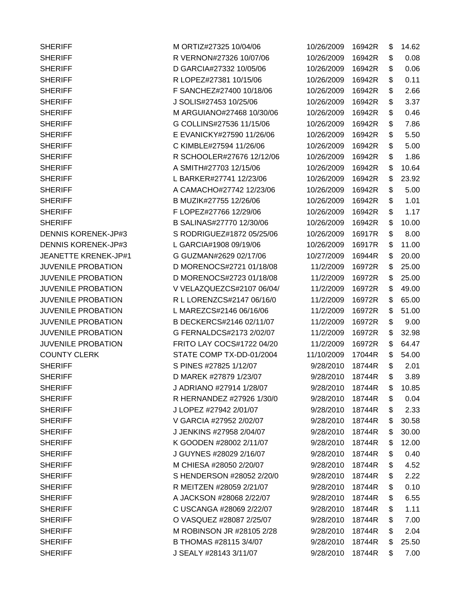SHERIFF SHERIFF SHERIFF S PINES #27825 1/12/07 SHERIFF J LOPEZ #27942 2/01/07

SHERIFF M ORTIZ#27325 10/04/06 10/26/2009 16942R \$ 14.62 SHERIFF **R VERNON#27326 10/07/06** 10 SHERIFF D GARCIA#27332 10/05/06 SHERIFF R LOPEZ#27381 10/15/06 SHERIFF **F SANCHEZ#27400 10/18/06** SHERIFF JSOLIS#27453 10/25/06 10 SHERIFF M ARGUIANO#27468 10/30/06 SHERIFF G COLLINS#27536 11/15/06 SHERIFF **E EVANICKY#27590 11/26/06** SHERIFF C KIMBLE#27594 11/26/06 SHERIFF R SCHOOLER#27676 12/12/06 SHERIFF A SMITH#27703 12/15/06 SHERIFF L BARKER#27741 12/23/06 SHERIFF A CAMACHO#27742 12/23/06 10 SHERIFF B MUZIK#27755 12/26/06 SHERIFF **F LOPEZ#27766 12/29/06** SHERIFF B SALINAS#27770 12/30/06 10 DENNIS KORENEK-JP#3 S RODRIGUEZ#1872 05/25/06 10 DENNIS KORENEK-JP#3 L GARCIA#1908 09/19/06 JEANETTE KRENEK-JP#1 G GUZMAN#2629 02/17/06 JUVENILE PROBATION D MORENOCS#2721 01/18/08 JUVENILE PROBATION D MORENOCS#2723 01/18/08 JUVENILE PROBATION V VELAZQUEZCS#2107 06/04/ JUVENILE PROBATION R L LORENZCS#2147 06/16/0 JUVENILE PROBATION L MAREZCS#2146 06/16/06 JUVENILE PROBATION B DECKERCS#2146 02/11/07 JUVENILE PROBATION G FERNALDCS#2173 2/02/07 JUVENILE PROBATION FRITO LAY COCS#1722 04/20 COUNTY CLERK STATE COMP TX-DD-01/2004 1 SHERIFF D MAREK #27879 1/23/07 SHERIFF J ADRIANO #27914 1/28/07 SHERIFF R HERNANDEZ #27926 1/30/0 SHERIFF V GARCIA #27952 2/02/07 SHERIFF J JENKINS #27958 2/04/07 9/28/2010 18744R \$ 30.00 SHERIFF K GOODEN #28002 2/11/07 SHERIFF J GUYNES #28029 2/16/07 SHERIFF M CHIESA #28050 2/20/07 SHERIFF SHENDERSON #28052 2/20/0 SHERIFF R MEITZEN #28059 2/21/07 SHERIFF **A JACKSON #28068 2/22/07** SHERIFF C USCANGA #28069 2/22/07 SHERIFF **O VASQUEZ #28087 2/25/07** SHERIFF M ROBINSON JR #28105 2/28 SHERIFF B THOMAS #28115 3/4/07 SHERIFF J SEALY #28143 3/11/07

| 0/26/2009 | 16942R | \$<br>14.62 |
|-----------|--------|-------------|
| 0/26/2009 | 16942R | \$<br>0.08  |
| 0/26/2009 | 16942R | \$<br>0.06  |
| 0/26/2009 | 16942R | \$<br>0.11  |
| 0/26/2009 | 16942R | \$<br>2.66  |
| 0/26/2009 | 16942R | \$<br>3.37  |
| 0/26/2009 | 16942R | \$<br>0.46  |
| 0/26/2009 | 16942R | \$<br>7.86  |
| 0/26/2009 | 16942R | \$<br>5.50  |
| 0/26/2009 | 16942R | \$<br>5.00  |
| 0/26/2009 | 16942R | \$<br>1.86  |
| 0/26/2009 | 16942R | \$<br>10.64 |
| 0/26/2009 | 16942R | \$<br>23.92 |
| 0/26/2009 | 16942R | \$<br>5.00  |
| 0/26/2009 | 16942R | \$<br>1.01  |
| 0/26/2009 | 16942R | \$<br>1.17  |
| 0/26/2009 | 16942R | \$<br>10.00 |
| 0/26/2009 | 16917R | \$<br>8.00  |
| 0/26/2009 | 16917R | \$<br>11.00 |
| 0/27/2009 | 16944R | \$<br>20.00 |
| 11/2/2009 | 16972R | \$<br>25.00 |
| 11/2/2009 | 16972R | \$<br>25.00 |
| 11/2/2009 | 16972R | \$<br>49.00 |
| 11/2/2009 | 16972R | \$<br>65.00 |
| 11/2/2009 | 16972R | \$<br>51.00 |
| 11/2/2009 | 16972R | \$<br>9.00  |
| 11/2/2009 | 16972R | \$<br>32.98 |
| 11/2/2009 | 16972R | \$<br>64.47 |
| 1/10/2009 | 17044R | \$<br>54.00 |
| 9/28/2010 | 18744R | \$<br>2.01  |
| 9/28/2010 | 18744R | \$<br>3.89  |
| 9/28/2010 | 18744R | \$<br>10.85 |
| 9/28/2010 | 18744R | \$<br>0.04  |
| 9/28/2010 | 18744R | \$<br>2.33  |
| 9/28/2010 | 18744R | \$<br>30.58 |
| 9/28/2010 | 18744R | \$<br>30.00 |
| 9/28/2010 | 18744R | \$<br>12.00 |
| 9/28/2010 | 18744R | \$<br>0.40  |
| 9/28/2010 | 18744R | \$<br>4.52  |
| 9/28/2010 | 18744R | \$<br>2.22  |
| 9/28/2010 | 18744R | \$<br>0.10  |
| 9/28/2010 | 18744R | \$<br>6.55  |
| 9/28/2010 | 18744R | \$<br>1.11  |
| 9/28/2010 | 18744R | \$<br>7.00  |
| 9/28/2010 | 18744R | \$<br>2.04  |
| 9/28/2010 | 18744R | \$<br>25.50 |
| 9/28/2010 | 18744R | \$<br>7.00  |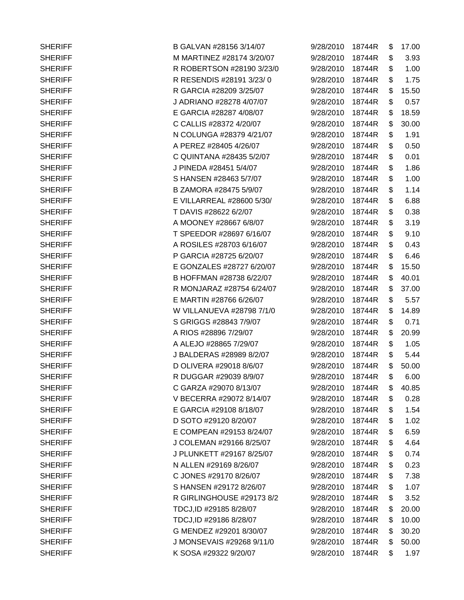| <b>SHERIFF</b> | B GALVAN #28156 3/14/07   | 9/28/2010 | 18744R | \$<br>17.00 |
|----------------|---------------------------|-----------|--------|-------------|
| <b>SHERIFF</b> | M MARTINEZ #28174 3/20/07 | 9/28/2010 | 18744R | \$<br>3.93  |
| <b>SHERIFF</b> | R ROBERTSON #28190 3/23/0 | 9/28/2010 | 18744R | \$<br>1.00  |
| <b>SHERIFF</b> | R RESENDIS #28191 3/23/0  | 9/28/2010 | 18744R | \$<br>1.75  |
| <b>SHERIFF</b> | R GARCIA #28209 3/25/07   | 9/28/2010 | 18744R | \$<br>15.50 |
| <b>SHERIFF</b> | J ADRIANO #28278 4/07/07  | 9/28/2010 | 18744R | \$<br>0.57  |
| <b>SHERIFF</b> | E GARCIA #28287 4/08/07   | 9/28/2010 | 18744R | \$<br>18.59 |
| <b>SHERIFF</b> | C CALLIS #28372 4/20/07   | 9/28/2010 | 18744R | \$<br>30.00 |
| <b>SHERIFF</b> | N COLUNGA #28379 4/21/07  | 9/28/2010 | 18744R | \$<br>1.91  |
| <b>SHERIFF</b> | A PEREZ #28405 4/26/07    | 9/28/2010 | 18744R | \$<br>0.50  |
| <b>SHERIFF</b> | C QUINTANA #28435 5/2/07  | 9/28/2010 | 18744R | \$<br>0.01  |
| <b>SHERIFF</b> | J PINEDA #28451 5/4/07    | 9/28/2010 | 18744R | \$<br>1.86  |
| <b>SHERIFF</b> | S HANSEN #28463 5/7/07    | 9/28/2010 | 18744R | \$<br>1.00  |
| <b>SHERIFF</b> | B ZAMORA #28475 5/9/07    | 9/28/2010 | 18744R | \$<br>1.14  |
| <b>SHERIFF</b> | E VILLARREAL #28600 5/30/ | 9/28/2010 | 18744R | \$<br>6.88  |
| <b>SHERIFF</b> | T DAVIS #28622 6/2/07     | 9/28/2010 | 18744R | \$<br>0.38  |
| <b>SHERIFF</b> | A MOONEY #28667 6/8/07    | 9/28/2010 | 18744R | \$<br>3.19  |
| <b>SHERIFF</b> | T SPEEDOR #28697 6/16/07  | 9/28/2010 | 18744R | \$<br>9.10  |
| <b>SHERIFF</b> | A ROSILES #28703 6/16/07  | 9/28/2010 | 18744R | \$<br>0.43  |
| <b>SHERIFF</b> | P GARCIA #28725 6/20/07   | 9/28/2010 | 18744R | \$<br>6.46  |
| <b>SHERIFF</b> | E GONZALES #28727 6/20/07 | 9/28/2010 | 18744R | \$<br>15.50 |
| <b>SHERIFF</b> | B HOFFMAN #28738 6/22/07  | 9/28/2010 | 18744R | \$<br>40.01 |
| <b>SHERIFF</b> | R MONJARAZ #28754 6/24/07 | 9/28/2010 | 18744R | \$<br>37.00 |
| <b>SHERIFF</b> | E MARTIN #28766 6/26/07   | 9/28/2010 | 18744R | \$<br>5.57  |
| <b>SHERIFF</b> | W VILLANUEVA #28798 7/1/0 | 9/28/2010 | 18744R | \$<br>14.89 |
| <b>SHERIFF</b> | S GRIGGS #28843 7/9/07    | 9/28/2010 | 18744R | \$<br>0.71  |
| <b>SHERIFF</b> | A RIOS #28896 7/29/07     | 9/28/2010 | 18744R | \$<br>20.99 |
| <b>SHERIFF</b> | A ALEJO #28865 7/29/07    | 9/28/2010 | 18744R | \$<br>1.05  |
| <b>SHERIFF</b> | J BALDERAS #28989 8/2/07  | 9/28/2010 | 18744R | \$<br>5.44  |
| <b>SHERIFF</b> | D OLIVERA #29018 8/6/07   | 9/28/2010 | 18744R | \$<br>50.00 |
| <b>SHERIFF</b> | R DUGGAR #29039 8/9/07    | 9/28/2010 | 18744R | \$<br>6.00  |
| <b>SHERIFF</b> | C GARZA #29070 8/13/07    | 9/28/2010 | 18744R | \$<br>40.85 |
| <b>SHERIFF</b> | V BECERRA #29072 8/14/07  | 9/28/2010 | 18744R | \$<br>0.28  |
| <b>SHERIFF</b> | E GARCIA #29108 8/18/07   | 9/28/2010 | 18744R | \$<br>1.54  |
| <b>SHERIFF</b> | D SOTO #29120 8/20/07     | 9/28/2010 | 18744R | \$<br>1.02  |
| <b>SHERIFF</b> | E COMPEAN #29153 8/24/07  | 9/28/2010 | 18744R | \$<br>6.59  |
| <b>SHERIFF</b> | J COLEMAN #29166 8/25/07  | 9/28/2010 | 18744R | \$<br>4.64  |
| <b>SHERIFF</b> | J PLUNKETT #29167 8/25/07 | 9/28/2010 | 18744R | \$<br>0.74  |
| <b>SHERIFF</b> | N ALLEN #29169 8/26/07    | 9/28/2010 | 18744R | \$<br>0.23  |
| <b>SHERIFF</b> | C JONES #29170 8/26/07    | 9/28/2010 | 18744R | \$<br>7.38  |
| <b>SHERIFF</b> | S HANSEN #29172 8/26/07   | 9/28/2010 | 18744R | \$<br>1.07  |
| <b>SHERIFF</b> | R GIRLINGHOUSE #29173 8/2 | 9/28/2010 | 18744R | \$<br>3.52  |
| <b>SHERIFF</b> | TDCJ, ID #29185 8/28/07   | 9/28/2010 | 18744R | \$<br>20.00 |
| <b>SHERIFF</b> | TDCJ, ID #29186 8/28/07   | 9/28/2010 | 18744R | \$<br>10.00 |
| <b>SHERIFF</b> | G MENDEZ #29201 8/30/07   | 9/28/2010 | 18744R | \$<br>30.20 |
| <b>SHERIFF</b> | J MONSEVAIS #29268 9/11/0 | 9/28/2010 | 18744R | \$<br>50.00 |
| <b>SHERIFF</b> | K SOSA #29322 9/20/07     | 9/28/2010 | 18744R | \$<br>1.97  |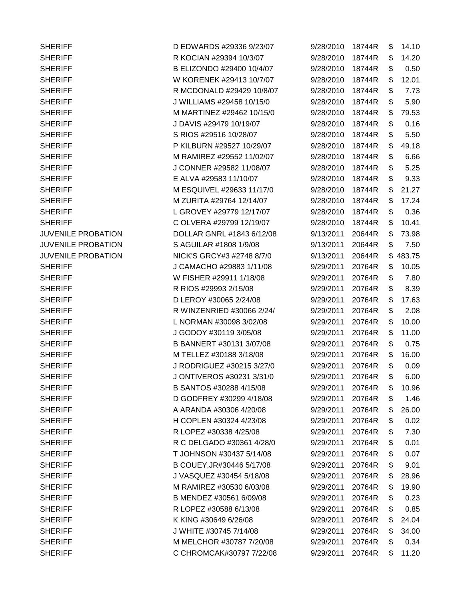SHERIFF D EDWARDS #29336 9/23/07 SHERIFF R KOCIAN #29394 10/3/07 SHERIFF B ELIZONDO #29400 10/4/07 SHERIFF W KORENEK #29413 10/7/07 SHERIFF R MCDONALD #29429 10/8/07 SHERIFF J WILLIAMS #29458 10/15/0 SHERIFF M MARTINEZ #29462 10/15/0 SHERIFF J DAVIS #29479 10/19/07 SHERIFF SHERIFF S RIOS #29516 10/28/07 SHERIFF P KILBURN #29527 10/29/07 SHERIFF M RAMIREZ #29552 11/02/07 SHERIFF J CONNER #29582 11/08/07 SHERIFF **E ALVA #29583 11/10/07** SHERIFF M ESQUIVEL #29633 11/17/0 SHERIFF M ZURITA #29764 12/14/07 SHERIFF L GROVEY #29779 12/17/07 SHERIFF C OLVERA #29799 12/19/07 JUVENILE PROBATION DOLLAR GNRL #1843 6/12/08 JUVENILE PROBATION S AGUILAR #1808 1/9/08 JUVENILE PROBATION NICK'S GRCY#3 #2748 8/7/0 SHERIFF J CAMACHO #29883 1/11/08 SHERIFF W FISHER #29911 1/18/08 SHERIFF R RIOS #29993 2/15/08 SHERIFF D LEROY #30065 2/24/08 SHERIFF R WINZENRIED #30066 2/24/ SHERIFF L NORMAN #30098 3/02/08 SHERIFF J GODOY #30119 3/05/08 SHERIFF B BANNERT #30131 3/07/08 SHERIFF M TELLEZ #30188 3/18/08 SHERIFF J RODRIGUEZ #30215 3/27/0 SHERIFF J ONTIVEROS #30231 3/31/0 SHERIFF B SANTOS #30288 4/15/08 SHERIFF D GODFREY #30299 4/18/08 SHERIFF A ARANDA #30306 4/20/08 SHERIFF **H COPLEN #30324 4/23/08** SHERIFF R LOPEZ #30338 4/25/08 SHERIFF R C DELGADO #30361 4/28/0 SHERIFF T JOHNSON #30437 5/14/08 SHERIFF B COUEY, JR#30446 5/17/08 SHERIFF J VASQUEZ #30454 5/18/08 SHERIFF M RAMIREZ #30530 6/03/08 SHERIFF B MENDEZ #30561 6/09/08 SHERIFF R LOPEZ #30588 6/13/08 SHERIFF K KING #30649 6/26/08 SHERIFF J WHITE #30745 7/14/08 SHERIFF M MELCHOR #30787 7/20/08 SHERIFF C CHROMCAK#30797 7/22/08

| 9/28/2010 | 18744R | \$<br>14.10  |
|-----------|--------|--------------|
| 9/28/2010 | 18744R | \$<br>14.20  |
| 9/28/2010 | 18744R | \$<br>0.50   |
| 9/28/2010 | 18744R | \$<br>12.01  |
| 9/28/2010 | 18744R | \$<br>7.73   |
| 9/28/2010 | 18744R | \$<br>5.90   |
| 9/28/2010 | 18744R | \$<br>79.53  |
| 9/28/2010 | 18744R | \$<br>0.16   |
| 9/28/2010 | 18744R | \$<br>5.50   |
| 9/28/2010 | 18744R | \$<br>49.18  |
| 9/28/2010 | 18744R | \$<br>6.66   |
| 9/28/2010 | 18744R | \$<br>5.25   |
| 9/28/2010 | 18744R | \$<br>9.33   |
| 9/28/2010 | 18744R | \$<br>21.27  |
| 9/28/2010 | 18744R | \$<br>17.24  |
| 9/28/2010 | 18744R | \$<br>0.36   |
| 9/28/2010 | 18744R | \$<br>10.41  |
| 9/13/2011 | 20644R | \$<br>73.98  |
| 9/13/2011 | 20644R | \$<br>7.50   |
| 9/13/2011 | 20644R | \$<br>483.75 |
| 9/29/2011 | 20764R | \$<br>10.05  |
| 9/29/2011 | 20764R | \$<br>7.80   |
| 9/29/2011 | 20764R | \$<br>8.39   |
| 9/29/2011 | 20764R | \$<br>17.63  |
| 9/29/2011 | 20764R | \$<br>2.08   |
| 9/29/2011 | 20764R | \$<br>10.00  |
| 9/29/2011 | 20764R | \$<br>11.00  |
| 9/29/2011 | 20764R | \$<br>0.75   |
| 9/29/2011 | 20764R | \$<br>16.00  |
| 9/29/2011 | 20764R | \$<br>0.09   |
| 9/29/2011 | 20764R | \$<br>6.00   |
| 9/29/2011 | 20764R | \$<br>10.96  |
| 9/29/2011 | 20764R | \$<br>1.46   |
| 9/29/2011 | 20764R | \$<br>26.00  |
| 9/29/2011 | 20764R | \$<br>0.02   |
| 9/29/2011 | 20764R | \$<br>7.30   |
| 9/29/2011 | 20764R | \$<br>0.01   |
| 9/29/2011 | 20764R | \$<br>0.07   |
| 9/29/2011 | 20764R | \$<br>9.01   |
| 9/29/2011 | 20764R | \$<br>28.96  |
| 9/29/2011 | 20764R | \$<br>19.90  |
| 9/29/2011 | 20764R | \$<br>0.23   |
| 9/29/2011 | 20764R | \$<br>0.85   |
| 9/29/2011 | 20764R | \$<br>24.04  |
| 9/29/2011 | 20764R | \$<br>34.00  |
| 9/29/2011 | 20764R | \$<br>0.34   |
| 9/29/2011 | 20764R | \$<br>11.20  |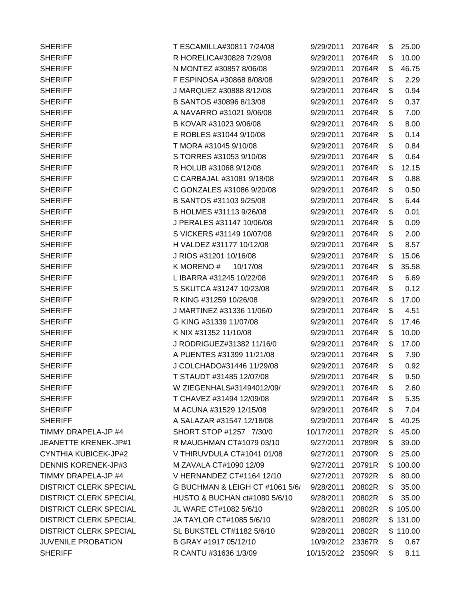| <b>SHERIFF</b>                | T ESCAMILLA#30811 7/24/08       | 9/29/2011  | 20764R | \$<br>25.00  |
|-------------------------------|---------------------------------|------------|--------|--------------|
| <b>SHERIFF</b>                | R HORELICA#30828 7/29/08        | 9/29/2011  | 20764R | \$<br>10.00  |
| <b>SHERIFF</b>                | N MONTEZ #30857 8/06/08         | 9/29/2011  | 20764R | \$<br>46.75  |
| <b>SHERIFF</b>                | F ESPINOSA #30868 8/08/08       | 9/29/2011  | 20764R | \$<br>2.29   |
| <b>SHERIFF</b>                | J MARQUEZ #30888 8/12/08        | 9/29/2011  | 20764R | \$<br>0.94   |
| <b>SHERIFF</b>                | B SANTOS #30896 8/13/08         | 9/29/2011  | 20764R | \$<br>0.37   |
| <b>SHERIFF</b>                | A NAVARRO #31021 9/06/08        | 9/29/2011  | 20764R | \$<br>7.00   |
| <b>SHERIFF</b>                | B KOVAR #31023 9/06/08          | 9/29/2011  | 20764R | \$<br>8.00   |
| <b>SHERIFF</b>                | E ROBLES #31044 9/10/08         | 9/29/2011  | 20764R | \$<br>0.14   |
| <b>SHERIFF</b>                | T MORA #31045 9/10/08           | 9/29/2011  | 20764R | \$<br>0.84   |
| <b>SHERIFF</b>                | S TORRES #31053 9/10/08         | 9/29/2011  | 20764R | \$<br>0.64   |
| <b>SHERIFF</b>                | R HOLUB #31068 9/12/08          | 9/29/2011  | 20764R | \$<br>12.15  |
| <b>SHERIFF</b>                | C CARBAJAL #31081 9/18/08       | 9/29/2011  | 20764R | \$<br>0.88   |
| <b>SHERIFF</b>                | C GONZALES #31086 9/20/08       | 9/29/2011  | 20764R | \$<br>0.50   |
| <b>SHERIFF</b>                | B SANTOS #31103 9/25/08         | 9/29/2011  | 20764R | \$<br>6.44   |
| <b>SHERIFF</b>                | B HOLMES #31113 9/26/08         | 9/29/2011  | 20764R | \$<br>0.01   |
| <b>SHERIFF</b>                | J PERALES #31147 10/06/08       | 9/29/2011  | 20764R | \$<br>0.09   |
| <b>SHERIFF</b>                | S VICKERS #31149 10/07/08       | 9/29/2011  | 20764R | \$<br>2.00   |
| <b>SHERIFF</b>                | H VALDEZ #31177 10/12/08        | 9/29/2011  | 20764R | \$<br>8.57   |
| <b>SHERIFF</b>                | J RIOS #31201 10/16/08          | 9/29/2011  | 20764R | \$<br>15.06  |
| <b>SHERIFF</b>                | K MORENO#<br>10/17/08           | 9/29/2011  | 20764R | \$<br>35.58  |
| <b>SHERIFF</b>                | L IBARRA #31245 10/22/08        | 9/29/2011  | 20764R | \$<br>6.69   |
| <b>SHERIFF</b>                | S SKUTCA #31247 10/23/08        | 9/29/2011  | 20764R | \$<br>0.12   |
| <b>SHERIFF</b>                | R KING #31259 10/26/08          | 9/29/2011  | 20764R | \$<br>17.00  |
| <b>SHERIFF</b>                | J MARTINEZ #31336 11/06/0       | 9/29/2011  | 20764R | \$<br>4.51   |
| <b>SHERIFF</b>                | G KING #31339 11/07/08          | 9/29/2011  | 20764R | \$<br>17.46  |
| <b>SHERIFF</b>                | K NIX #31352 11/10/08           | 9/29/2011  | 20764R | \$<br>10.00  |
| <b>SHERIFF</b>                | J RODRIGUEZ#31382 11/16/0       | 9/29/2011  | 20764R | \$<br>17.00  |
| <b>SHERIFF</b>                | A PUENTES #31399 11/21/08       | 9/29/2011  | 20764R | \$<br>7.90   |
| <b>SHERIFF</b>                | J COLCHADO#31446 11/29/08       | 9/29/2011  | 20764R | \$<br>0.92   |
| <b>SHERIFF</b>                | T STAUDT #31485 12/07/08        | 9/29/2011  | 20764R | \$<br>9.50   |
| <b>SHERIFF</b>                | W ZIEGENHALS#31494012/09/       | 9/29/2011  | 20764R | \$<br>2.60   |
| <b>SHERIFF</b>                | T CHAVEZ #31494 12/09/08        | 9/29/2011  | 20764R | \$<br>5.35   |
| <b>SHERIFF</b>                | M ACUNA #31529 12/15/08         | 9/29/2011  | 20764R | \$<br>7.04   |
| <b>SHERIFF</b>                | A SALAZAR #31547 12/18/08       | 9/29/2011  | 20764R | \$<br>40.25  |
| TIMMY DRAPELA-JP #4           | SHORT STOP #1257 7/30/0         | 10/17/2011 | 20782R | \$<br>45.00  |
| <b>JEANETTE KRENEK-JP#1</b>   | R MAUGHMAN CT#1079 03/10        | 9/27/2011  | 20789R | \$<br>39.00  |
| CYNTHIA KUBICEK-JP#2          | V THIRUVDULA CT#1041 01/08      | 9/27/2011  | 20790R | \$<br>25.00  |
| <b>DENNIS KORENEK-JP#3</b>    | M ZAVALA CT#1090 12/09          | 9/27/2011  | 20791R | \$<br>100.00 |
| TIMMY DRAPELA-JP #4           | V HERNANDEZ CT#1164 12/10       | 9/27/2011  | 20792R | \$<br>80.00  |
| <b>DISTRICT CLERK SPECIAL</b> | G BUCHMAN & LEIGH CT #1061 5/6/ | 9/28/2011  | 20802R | \$<br>35.00  |
| <b>DISTRICT CLERK SPECIAL</b> | HUSTO & BUCHAN ct#1080 5/6/10   | 9/28/2011  | 20802R | \$<br>35.00  |
| <b>DISTRICT CLERK SPECIAL</b> | JL WARE CT#1082 5/6/10          | 9/28/2011  | 20802R | \$105.00     |
| <b>DISTRICT CLERK SPECIAL</b> | JA TAYLOR CT#1085 5/6/10        | 9/28/2011  | 20802R | \$131.00     |
| <b>DISTRICT CLERK SPECIAL</b> | SL BUKSTEL CT#1182 5/6/10       | 9/28/2011  | 20802R | \$110.00     |
| <b>JUVENILE PROBATION</b>     | B GRAY #1917 05/12/10           | 10/9/2012  | 23367R | \$<br>0.67   |
| <b>SHERIFF</b>                | R CANTU #31636 1/3/09           | 10/15/2012 | 23509R | \$<br>8.11   |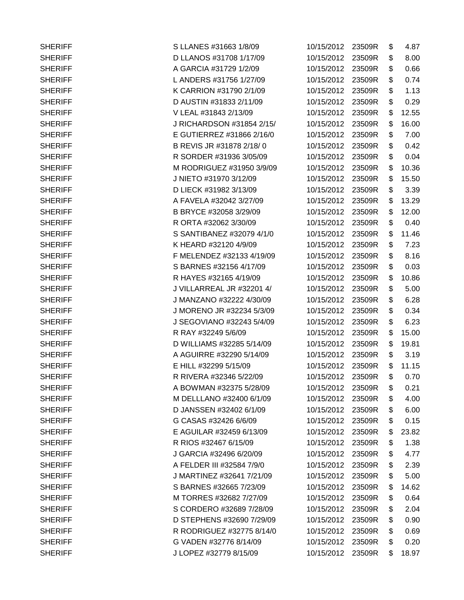| <b>SHERIFF</b> | S LLANES #31663 1/8/09    | 10/15/2012        | 23509R | \$<br>4.87  |
|----------------|---------------------------|-------------------|--------|-------------|
| <b>SHERIFF</b> | D LLANOS #31708 1/17/09   | 10/15/2012        | 23509R | \$<br>8.00  |
| <b>SHERIFF</b> | A GARCIA #31729 1/2/09    | 10/15/2012 23509R |        | \$<br>0.66  |
| <b>SHERIFF</b> | L ANDERS #31756 1/27/09   | 10/15/2012        | 23509R | \$<br>0.74  |
| <b>SHERIFF</b> | K CARRION #31790 2/1/09   | 10/15/2012        | 23509R | \$<br>1.13  |
| <b>SHERIFF</b> | D AUSTIN #31833 2/11/09   | 10/15/2012        | 23509R | \$<br>0.29  |
| <b>SHERIFF</b> | V LEAL #31843 2/13/09     | 10/15/2012        | 23509R | \$<br>12.55 |
| <b>SHERIFF</b> | J RICHARDSON #31854 2/15/ | 10/15/2012        | 23509R | \$<br>16.00 |
| <b>SHERIFF</b> | E GUTIERREZ #31866 2/16/0 | 10/15/2012        | 23509R | \$<br>7.00  |
| <b>SHERIFF</b> | B REVIS JR #31878 2/18/0  | 10/15/2012        | 23509R | \$<br>0.42  |
| <b>SHERIFF</b> | R SORDER #31936 3/05/09   | 10/15/2012        | 23509R | \$<br>0.04  |
| <b>SHERIFF</b> | M RODRIGUEZ #31950 3/9/09 | 10/15/2012        | 23509R | \$<br>10.36 |
| <b>SHERIFF</b> | J NIETO #31970 3/12/09    | 10/15/2012        | 23509R | \$<br>15.50 |
| <b>SHERIFF</b> | D LIECK #31982 3/13/09    | 10/15/2012        | 23509R | \$<br>3.39  |
| <b>SHERIFF</b> | A FAVELA #32042 3/27/09   | 10/15/2012        | 23509R | \$<br>13.29 |
| <b>SHERIFF</b> | B BRYCE #32058 3/29/09    | 10/15/2012        | 23509R | \$<br>12.00 |
| <b>SHERIFF</b> | R ORTA #32062 3/30/09     | 10/15/2012        | 23509R | \$<br>0.40  |
| <b>SHERIFF</b> | S SANTIBANEZ #32079 4/1/0 | 10/15/2012        | 23509R | \$<br>11.46 |
| <b>SHERIFF</b> | K HEARD #32120 4/9/09     | 10/15/2012        | 23509R | \$<br>7.23  |
| <b>SHERIFF</b> | F MELENDEZ #32133 4/19/09 | 10/15/2012        | 23509R | \$<br>8.16  |
| <b>SHERIFF</b> | S BARNES #32156 4/17/09   | 10/15/2012        | 23509R | \$<br>0.03  |
| <b>SHERIFF</b> | R HAYES #32165 4/19/09    | 10/15/2012        | 23509R | \$<br>10.86 |
| <b>SHERIFF</b> | J VILLARREAL JR #32201 4/ | 10/15/2012 23509R |        | \$<br>5.00  |
| <b>SHERIFF</b> | J MANZANO #32222 4/30/09  | 10/15/2012        | 23509R | \$<br>6.28  |
| <b>SHERIFF</b> | J MORENO JR #32234 5/3/09 | 10/15/2012        | 23509R | \$<br>0.34  |
| <b>SHERIFF</b> | J SEGOVIANO #32243 5/4/09 | 10/15/2012        | 23509R | \$<br>6.23  |
| <b>SHERIFF</b> | R RAY #32249 5/6/09       | 10/15/2012        | 23509R | \$<br>15.00 |
| <b>SHERIFF</b> | D WILLIAMS #32285 5/14/09 | 10/15/2012        | 23509R | \$<br>19.81 |
| <b>SHERIFF</b> | A AGUIRRE #32290 5/14/09  | 10/15/2012        | 23509R | \$<br>3.19  |
| <b>SHERIFF</b> | E HILL #32299 5/15/09     | 10/15/2012 23509R |        | \$<br>11.15 |
| <b>SHERIFF</b> | R RIVERA #32346 5/22/09   | 10/15/2012 23509R |        | \$<br>0.70  |
| <b>SHERIFF</b> | A BOWMAN #32375 5/28/09   | 10/15/2012        | 23509R | \$<br>0.21  |
| <b>SHERIFF</b> | M DELLLANO #32400 6/1/09  | 10/15/2012        | 23509R | \$<br>4.00  |
| <b>SHERIFF</b> | D JANSSEN #32402 6/1/09   | 10/15/2012        | 23509R | \$<br>6.00  |
| <b>SHERIFF</b> | G CASAS #32426 6/6/09     | 10/15/2012        | 23509R | \$<br>0.15  |
| <b>SHERIFF</b> | E AGUILAR #32459 6/13/09  | 10/15/2012        | 23509R | \$<br>23.82 |
| <b>SHERIFF</b> | R RIOS #32467 6/15/09     | 10/15/2012        | 23509R | \$<br>1.38  |
| <b>SHERIFF</b> | J GARCIA #32496 6/20/09   | 10/15/2012        | 23509R | \$<br>4.77  |
| <b>SHERIFF</b> | A FELDER III #32584 7/9/0 | 10/15/2012        | 23509R | \$<br>2.39  |
| <b>SHERIFF</b> | J MARTINEZ #32641 7/21/09 | 10/15/2012        | 23509R | \$<br>5.00  |
| <b>SHERIFF</b> | S BARNES #32665 7/23/09   | 10/15/2012        | 23509R | \$<br>14.62 |
| <b>SHERIFF</b> | M TORRES #32682 7/27/09   | 10/15/2012        | 23509R | \$<br>0.64  |
| <b>SHERIFF</b> | S CORDERO #32689 7/28/09  | 10/15/2012        | 23509R | \$<br>2.04  |
| <b>SHERIFF</b> | D STEPHENS #32690 7/29/09 | 10/15/2012        | 23509R | \$<br>0.90  |
| <b>SHERIFF</b> | R RODRIGUEZ #32775 8/14/0 | 10/15/2012        | 23509R | \$<br>0.69  |
| <b>SHERIFF</b> | G VADEN #32776 8/14/09    | 10/15/2012        | 23509R | \$<br>0.20  |
| <b>SHERIFF</b> | J LOPEZ #32779 8/15/09    | 10/15/2012        | 23509R | \$<br>18.97 |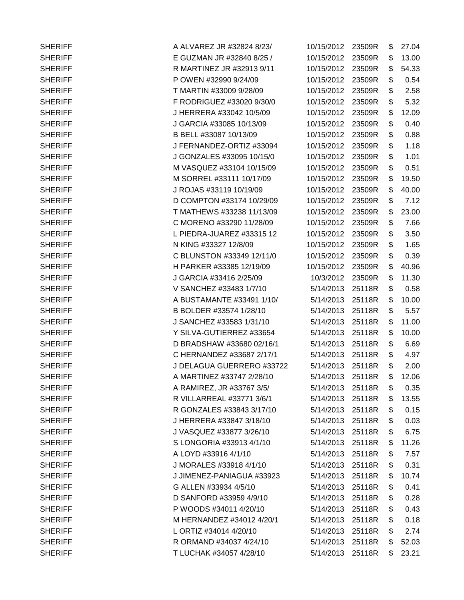| <b>SHERIFF</b> | A ALVAREZ JR #32824 8/23/ | 10/15/2012        | 23509R | \$<br>27.04 |
|----------------|---------------------------|-------------------|--------|-------------|
| <b>SHERIFF</b> | E GUZMAN JR #32840 8/25 / | 10/15/2012 23509R |        | \$<br>13.00 |
| <b>SHERIFF</b> | R MARTINEZ JR #32913 9/11 | 10/15/2012        | 23509R | \$<br>54.33 |
| <b>SHERIFF</b> | P OWEN #32990 9/24/09     | 10/15/2012        | 23509R | \$<br>0.54  |
| <b>SHERIFF</b> | T MARTIN #33009 9/28/09   | 10/15/2012        | 23509R | \$<br>2.58  |
| <b>SHERIFF</b> | F RODRIGUEZ #33020 9/30/0 | 10/15/2012        | 23509R | \$<br>5.32  |
| <b>SHERIFF</b> | J HERRERA #33042 10/5/09  | 10/15/2012        | 23509R | \$<br>12.09 |
| <b>SHERIFF</b> | J GARCIA #33085 10/13/09  | 10/15/2012 23509R |        | \$<br>0.40  |
| <b>SHERIFF</b> | B BELL #33087 10/13/09    | 10/15/2012        | 23509R | \$<br>0.88  |
| <b>SHERIFF</b> | J FERNANDEZ-ORTIZ #33094  | 10/15/2012        | 23509R | \$<br>1.18  |
| <b>SHERIFF</b> | J GONZALES #33095 10/15/0 | 10/15/2012 23509R |        | \$<br>1.01  |
| <b>SHERIFF</b> | M VASQUEZ #33104 10/15/09 | 10/15/2012        | 23509R | \$<br>0.51  |
| <b>SHERIFF</b> | M SORREL #33111 10/17/09  | 10/15/2012 23509R |        | \$<br>19.50 |
| <b>SHERIFF</b> | J ROJAS #33119 10/19/09   | 10/15/2012        | 23509R | \$<br>40.00 |
| <b>SHERIFF</b> | D COMPTON #33174 10/29/09 | 10/15/2012        | 23509R | \$<br>7.12  |
| <b>SHERIFF</b> | T MATHEWS #33238 11/13/09 | 10/15/2012 23509R |        | \$<br>23.00 |
| <b>SHERIFF</b> | C MORENO #33290 11/28/09  | 10/15/2012        | 23509R | \$<br>7.66  |
| <b>SHERIFF</b> | L PIEDRA-JUAREZ #33315 12 | 10/15/2012 23509R |        | \$<br>3.50  |
| <b>SHERIFF</b> | N KING #33327 12/8/09     | 10/15/2012        | 23509R | \$<br>1.65  |
| <b>SHERIFF</b> | C BLUNSTON #33349 12/11/0 | 10/15/2012        | 23509R | \$<br>0.39  |
| <b>SHERIFF</b> | H PARKER #33385 12/19/09  | 10/15/2012        | 23509R | \$<br>40.96 |
| <b>SHERIFF</b> | J GARCIA #33416 2/25/09   | 10/3/2012         | 23509R | \$<br>11.30 |
| <b>SHERIFF</b> | V SANCHEZ #33483 1/7/10   | 5/14/2013         | 25118R | \$<br>0.58  |
| <b>SHERIFF</b> | A BUSTAMANTE #33491 1/10/ | 5/14/2013         | 25118R | \$<br>10.00 |
| <b>SHERIFF</b> | B BOLDER #33574 1/28/10   | 5/14/2013         | 25118R | \$<br>5.57  |
| <b>SHERIFF</b> | J SANCHEZ #33583 1/31/10  | 5/14/2013         | 25118R | \$<br>11.00 |
| <b>SHERIFF</b> | Y SILVA-GUTIERREZ #33654  | 5/14/2013         | 25118R | \$<br>10.00 |
| <b>SHERIFF</b> | D BRADSHAW #33680 02/16/1 | 5/14/2013         | 25118R | \$<br>6.69  |
| <b>SHERIFF</b> | C HERNANDEZ #33687 2/17/1 | 5/14/2013         | 25118R | \$<br>4.97  |
| <b>SHERIFF</b> | J DELAGUA GUERRERO #33722 | 5/14/2013 25118R  |        | \$<br>2.00  |
| <b>SHERIFF</b> | A MARTINEZ #33747 2/28/10 | 5/14/2013         | 25118R | \$<br>12.06 |
| <b>SHERIFF</b> | A RAMIREZ, JR #33767 3/5/ | 5/14/2013         | 25118R | \$<br>0.35  |
| <b>SHERIFF</b> | R VILLARREAL #33771 3/6/1 | 5/14/2013         | 25118R | \$<br>13.55 |
| <b>SHERIFF</b> | R GONZALES #33843 3/17/10 | 5/14/2013         | 25118R | \$<br>0.15  |
| <b>SHERIFF</b> | J HERRERA #33847 3/18/10  | 5/14/2013         | 25118R | \$<br>0.03  |
| <b>SHERIFF</b> | J VASQUEZ #33877 3/26/10  | 5/14/2013         | 25118R | \$<br>6.75  |
| <b>SHERIFF</b> | S LONGORIA #33913 4/1/10  | 5/14/2013         | 25118R | \$<br>11.26 |
| <b>SHERIFF</b> | A LOYD #33916 4/1/10      | 5/14/2013         | 25118R | \$<br>7.57  |
| <b>SHERIFF</b> | J MORALES #33918 4/1/10   | 5/14/2013         | 25118R | \$<br>0.31  |
| <b>SHERIFF</b> | J JIMENEZ-PANIAGUA #33923 | 5/14/2013         | 25118R | \$<br>10.74 |
| <b>SHERIFF</b> | G ALLEN #33934 4/5/10     | 5/14/2013         | 25118R | \$<br>0.41  |
| <b>SHERIFF</b> | D SANFORD #33959 4/9/10   | 5/14/2013         | 25118R | \$<br>0.28  |
| <b>SHERIFF</b> | P WOODS #34011 4/20/10    | 5/14/2013         | 25118R | \$<br>0.43  |
| <b>SHERIFF</b> | M HERNANDEZ #34012 4/20/1 | 5/14/2013         | 25118R | \$<br>0.18  |
| <b>SHERIFF</b> | L ORTIZ #34014 4/20/10    | 5/14/2013         | 25118R | \$<br>2.74  |
| <b>SHERIFF</b> | R ORMAND #34037 4/24/10   | 5/14/2013         | 25118R | \$<br>52.03 |
| <b>SHERIFF</b> | T LUCHAK #34057 4/28/10   | 5/14/2013 25118R  |        | \$<br>23.21 |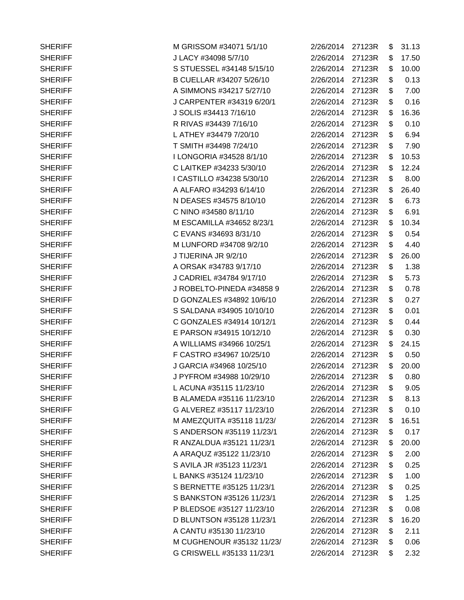| <b>SHERIFF</b> | M GRISSOM #34071 5/1/10   | 2/26/2014        | 27123R | \$ | 31.13 |
|----------------|---------------------------|------------------|--------|----|-------|
| <b>SHERIFF</b> | J LACY #34098 5/7/10      | 2/26/2014 27123R |        | \$ | 17.50 |
| <b>SHERIFF</b> | S STUESSEL #34148 5/15/10 | 2/26/2014 27123R |        | \$ | 10.00 |
| <b>SHERIFF</b> | B CUELLAR #34207 5/26/10  | 2/26/2014 27123R |        | \$ | 0.13  |
| <b>SHERIFF</b> | A SIMMONS #34217 5/27/10  | 2/26/2014        | 27123R | \$ | 7.00  |
| <b>SHERIFF</b> | J CARPENTER #34319 6/20/1 | 2/26/2014        | 27123R | \$ | 0.16  |
| <b>SHERIFF</b> | J SOLIS #34413 7/16/10    | 2/26/2014        | 27123R | \$ | 16.36 |
| <b>SHERIFF</b> | R RIVAS #34439 7/16/10    | 2/26/2014        | 27123R | \$ | 0.10  |
| <b>SHERIFF</b> | L ATHEY #34479 7/20/10    | 2/26/2014 27123R |        | \$ | 6.94  |
| <b>SHERIFF</b> | T SMITH #34498 7/24/10    | 2/26/2014        | 27123R | S  | 7.90  |
| <b>SHERIFF</b> | I LONGORIA #34528 8/1/10  | 2/26/2014        | 27123R | \$ | 10.53 |
| <b>SHERIFF</b> | C LAITKEP #34233 5/30/10  | 2/26/2014        | 27123R | \$ | 12.24 |
| <b>SHERIFF</b> | I CASTILLO #34238 5/30/10 | 2/26/2014        | 27123R | \$ | 8.00  |
| <b>SHERIFF</b> | A ALFARO #34293 6/14/10   | 2/26/2014        | 27123R | \$ | 26.40 |
| <b>SHERIFF</b> | N DEASES #34575 8/10/10   | 2/26/2014        | 27123R | \$ | 6.73  |
| <b>SHERIFF</b> | C NINO #34580 8/11/10     | 2/26/2014 27123R |        | \$ | 6.91  |
| <b>SHERIFF</b> | M ESCAMILLA #34652 8/23/1 | 2/26/2014        | 27123R | \$ | 10.34 |
| <b>SHERIFF</b> | C EVANS #34693 8/31/10    | 2/26/2014        | 27123R | \$ | 0.54  |
| <b>SHERIFF</b> | M LUNFORD #34708 9/2/10   | 2/26/2014        | 27123R | \$ | 4.40  |
| <b>SHERIFF</b> | J TIJERINA JR 9/2/10      | 2/26/2014        | 27123R | \$ | 26.00 |
| <b>SHERIFF</b> | A ORSAK #34783 9/17/10    | 2/26/2014        | 27123R | \$ | 1.38  |
| <b>SHERIFF</b> | J CADRIEL #34784 9/17/10  | 2/26/2014 27123R |        | \$ | 5.73  |
| <b>SHERIFF</b> | J ROBELTO-PINEDA #34858 9 | 2/26/2014 27123R |        | \$ | 0.78  |
| <b>SHERIFF</b> | D GONZALES #34892 10/6/10 | 2/26/2014        | 27123R | \$ | 0.27  |
| <b>SHERIFF</b> | S SALDANA #34905 10/10/10 | 2/26/2014        | 27123R | \$ | 0.01  |
| <b>SHERIFF</b> | C GONZALES #34914 10/12/1 | 2/26/2014        | 27123R | \$ | 0.44  |
| <b>SHERIFF</b> | E PARSON #34915 10/12/10  | 2/26/2014        | 27123R | \$ | 0.30  |
| <b>SHERIFF</b> | A WILLIAMS #34966 10/25/1 | 2/26/2014 27123R |        | \$ | 24.15 |
| <b>SHERIFF</b> | F CASTRO #34967 10/25/10  | 2/26/2014        | 27123R | \$ | 0.50  |
| <b>SHERIFF</b> | J GARCIA #34968 10/25/10  | 2/26/2014 27123R |        | \$ | 20.00 |
| <b>SHERIFF</b> | J PYFROM #34988 10/29/10  | 2/26/2014 27123R |        | S  | 0.80  |
| <b>SHERIFF</b> | L ACUNA #35115 11/23/10   | 2/26/2014        | 27123R | \$ | 9.05  |
| <b>SHERIFF</b> | B ALAMEDA #35116 11/23/10 | 2/26/2014        | 27123R | \$ | 8.13  |
| <b>SHERIFF</b> | G ALVEREZ #35117 11/23/10 | 2/26/2014 27123R |        | \$ | 0.10  |
| <b>SHERIFF</b> | M AMEZQUITA #35118 11/23/ | 2/26/2014 27123R |        | \$ | 16.51 |
| <b>SHERIFF</b> | S ANDERSON #35119 11/23/1 | 2/26/2014        | 27123R | \$ | 0.17  |
| <b>SHERIFF</b> | R ANZALDUA #35121 11/23/1 | 2/26/2014        | 27123R | \$ | 20.00 |
| <b>SHERIFF</b> | A ARAQUZ #35122 11/23/10  | 2/26/2014        | 27123R | \$ | 2.00  |
| <b>SHERIFF</b> | S AVILA JR #35123 11/23/1 | 2/26/2014        | 27123R | \$ | 0.25  |
| <b>SHERIFF</b> | L BANKS #35124 11/23/10   | 2/26/2014        | 27123R | \$ | 1.00  |
| <b>SHERIFF</b> | S BERNETTE #35125 11/23/1 | 2/26/2014        | 27123R | \$ | 0.25  |
| <b>SHERIFF</b> | S BANKSTON #35126 11/23/1 | 2/26/2014        | 27123R | \$ | 1.25  |
| <b>SHERIFF</b> | P BLEDSOE #35127 11/23/10 | 2/26/2014        | 27123R | \$ | 0.08  |
| <b>SHERIFF</b> | D BLUNTSON #35128 11/23/1 | 2/26/2014        | 27123R | \$ | 16.20 |
| <b>SHERIFF</b> | A CANTU #35130 11/23/10   | 2/26/2014        | 27123R | \$ | 2.11  |
| <b>SHERIFF</b> | M CUGHENOUR #35132 11/23/ | 2/26/2014        | 27123R | \$ | 0.06  |
| <b>SHERIFF</b> | G CRISWELL #35133 11/23/1 | 2/26/2014 27123R |        | \$ | 2.32  |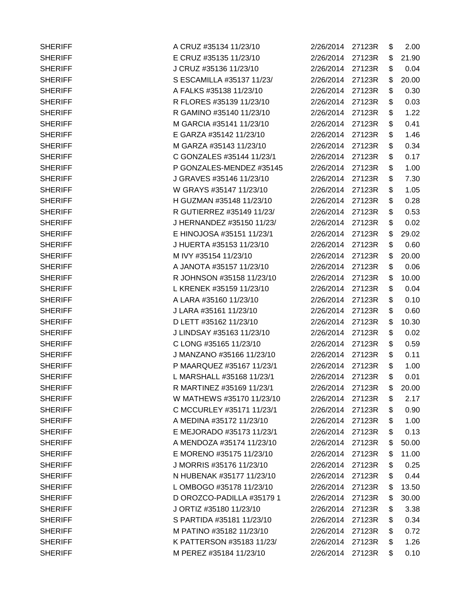| <b>SHERIFF</b> | A CRUZ #35134 11/23/10    | 2/26/2014        | 27123R | \$<br>2.00  |
|----------------|---------------------------|------------------|--------|-------------|
| <b>SHERIFF</b> | E CRUZ #35135 11/23/10    | 2/26/2014 27123R |        | \$<br>21.90 |
| <b>SHERIFF</b> | J CRUZ #35136 11/23/10    | 2/26/2014 27123R |        | \$<br>0.04  |
| <b>SHERIFF</b> | S ESCAMILLA #35137 11/23/ | 2/26/2014 27123R |        | \$<br>20.00 |
| <b>SHERIFF</b> | A FALKS #35138 11/23/10   | 2/26/2014        | 27123R | \$<br>0.30  |
| <b>SHERIFF</b> | R FLORES #35139 11/23/10  | 2/26/2014        | 27123R | \$<br>0.03  |
| <b>SHERIFF</b> | R GAMINO #35140 11/23/10  | 2/26/2014        | 27123R | \$<br>1.22  |
| <b>SHERIFF</b> | M GARCIA #35141 11/23/10  | 2/26/2014 27123R |        | \$<br>0.41  |
| <b>SHERIFF</b> | E GARZA #35142 11/23/10   | 2/26/2014        | 27123R | \$<br>1.46  |
| <b>SHERIFF</b> | M GARZA #35143 11/23/10   | 2/26/2014        | 27123R | \$<br>0.34  |
| <b>SHERIFF</b> | C GONZALES #35144 11/23/1 | 2/26/2014        | 27123R | \$<br>0.17  |
| <b>SHERIFF</b> | P GONZALES-MENDEZ #35145  | 2/26/2014        | 27123R | \$<br>1.00  |
| <b>SHERIFF</b> | J GRAVES #35146 11/23/10  | 2/26/2014        | 27123R | \$<br>7.30  |
| <b>SHERIFF</b> | W GRAYS #35147 11/23/10   | 2/26/2014        | 27123R | \$<br>1.05  |
| <b>SHERIFF</b> | H GUZMAN #35148 11/23/10  | 2/26/2014        | 27123R | \$<br>0.28  |
| <b>SHERIFF</b> | R GUTIERREZ #35149 11/23/ | 2/26/2014 27123R |        | \$<br>0.53  |
| <b>SHERIFF</b> | J HERNANDEZ #35150 11/23/ | 2/26/2014        | 27123R | \$<br>0.02  |
| <b>SHERIFF</b> | E HINOJOSA #35151 11/23/1 | 2/26/2014        | 27123R | \$<br>29.02 |
| <b>SHERIFF</b> | J HUERTA #35153 11/23/10  | 2/26/2014        | 27123R | \$<br>0.60  |
| <b>SHERIFF</b> | M IVY #35154 11/23/10     | 2/26/2014        | 27123R | \$<br>20.00 |
| <b>SHERIFF</b> | A JANOTA #35157 11/23/10  | 2/26/2014 27123R |        | \$<br>0.06  |
| <b>SHERIFF</b> | R JOHNSON #35158 11/23/10 | 2/26/2014        | 27123R | \$<br>10.00 |
| <b>SHERIFF</b> | L KRENEK #35159 11/23/10  | 2/26/2014 27123R |        | \$<br>0.04  |
| <b>SHERIFF</b> | A LARA #35160 11/23/10    | 2/26/2014        | 27123R | \$<br>0.10  |
| <b>SHERIFF</b> | J LARA #35161 11/23/10    | 2/26/2014        | 27123R | \$<br>0.60  |
| <b>SHERIFF</b> | D LETT #35162 11/23/10    | 2/26/2014        | 27123R | \$<br>10.30 |
| <b>SHERIFF</b> | J LINDSAY #35163 11/23/10 | 2/26/2014        | 27123R | \$<br>0.02  |
| <b>SHERIFF</b> | C LONG #35165 11/23/10    | 2/26/2014        | 27123R | \$<br>0.59  |
| <b>SHERIFF</b> | J MANZANO #35166 11/23/10 | 2/26/2014        | 27123R | \$<br>0.11  |
| <b>SHERIFF</b> | P MAARQUEZ #35167 11/23/1 | 2/26/2014        | 27123R | \$<br>1.00  |
| <b>SHERIFF</b> | L MARSHALL #35168 11/23/1 | 2/26/2014        | 27123R | \$<br>0.01  |
| <b>SHERIFF</b> | R MARTINEZ #35169 11/23/1 | 2/26/2014        | 27123R | \$<br>20.00 |
| <b>SHERIFF</b> | W MATHEWS #35170 11/23/10 | 2/26/2014        | 27123R | \$<br>2.17  |
| <b>SHERIFF</b> | C MCCURLEY #35171 11/23/1 | 2/26/2014        | 27123R | \$<br>0.90  |
| <b>SHERIFF</b> | A MEDINA #35172 11/23/10  | 2/26/2014 27123R |        | \$<br>1.00  |
| <b>SHERIFF</b> | E MEJORADO #35173 11/23/1 | 2/26/2014        | 27123R | \$<br>0.13  |
| <b>SHERIFF</b> | A MENDOZA #35174 11/23/10 | 2/26/2014        | 27123R | \$<br>50.00 |
| <b>SHERIFF</b> | E MORENO #35175 11/23/10  | 2/26/2014        | 27123R | \$<br>11.00 |
| <b>SHERIFF</b> | J MORRIS #35176 11/23/10  | 2/26/2014        | 27123R | \$<br>0.25  |
| <b>SHERIFF</b> | N HUBENAK #35177 11/23/10 | 2/26/2014        | 27123R | \$<br>0.44  |
| <b>SHERIFF</b> | L OMBOGO #35178 11/23/10  | 2/26/2014        | 27123R | \$<br>13.50 |
| <b>SHERIFF</b> | D OROZCO-PADILLA #35179 1 | 2/26/2014        | 27123R | \$<br>30.00 |
| <b>SHERIFF</b> | J ORTIZ #35180 11/23/10   | 2/26/2014        | 27123R | \$<br>3.38  |
| <b>SHERIFF</b> | S PARTIDA #35181 11/23/10 | 2/26/2014        | 27123R | \$<br>0.34  |
| <b>SHERIFF</b> | M PATINO #35182 11/23/10  | 2/26/2014        | 27123R | \$<br>0.72  |
| <b>SHERIFF</b> | K PATTERSON #35183 11/23/ | 2/26/2014        | 27123R | \$<br>1.26  |
| <b>SHERIFF</b> | M PEREZ #35184 11/23/10   | 2/26/2014 27123R |        | \$<br>0.10  |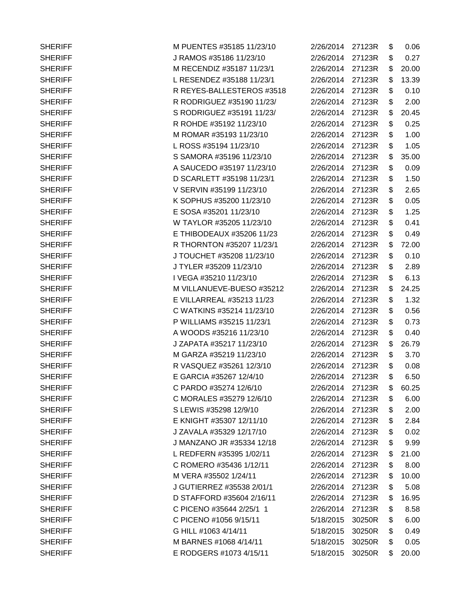| <b>SHERIFF</b> | M PUENTES #35185 11/23/10 | 2/26/2014 27123R |        | \$ | 0.06  |
|----------------|---------------------------|------------------|--------|----|-------|
| <b>SHERIFF</b> | J RAMOS #35186 11/23/10   | 2/26/2014 27123R |        | \$ | 0.27  |
| <b>SHERIFF</b> | M RECENDIZ #35187 11/23/1 | 2/26/2014 27123R |        | \$ | 20.00 |
| <b>SHERIFF</b> | L RESENDEZ #35188 11/23/1 | 2/26/2014 27123R |        | \$ | 13.39 |
| <b>SHERIFF</b> | R REYES-BALLESTEROS #3518 | 2/26/2014        | 27123R | \$ | 0.10  |
| <b>SHERIFF</b> | R RODRIGUEZ #35190 11/23/ | 2/26/2014        | 27123R | \$ | 2.00  |
| <b>SHERIFF</b> | S RODRIGUEZ #35191 11/23/ | 2/26/2014        | 27123R | \$ | 20.45 |
| <b>SHERIFF</b> | R ROHDE #35192 11/23/10   | 2/26/2014        | 27123R | \$ | 0.25  |
| <b>SHERIFF</b> | M ROMAR #35193 11/23/10   | 2/26/2014 27123R |        | \$ | 1.00  |
| <b>SHERIFF</b> | L ROSS #35194 11/23/10    | 2/26/2014        | 27123R | \$ | 1.05  |
| <b>SHERIFF</b> | S SAMORA #35196 11/23/10  | 2/26/2014 27123R |        | \$ | 35.00 |
| <b>SHERIFF</b> | A SAUCEDO #35197 11/23/10 | 2/26/2014        | 27123R | \$ | 0.09  |
| <b>SHERIFF</b> | D SCARLETT #35198 11/23/1 | 2/26/2014        | 27123R | \$ | 1.50  |
| <b>SHERIFF</b> | V SERVIN #35199 11/23/10  | 2/26/2014        | 27123R | \$ | 2.65  |
| <b>SHERIFF</b> | K SOPHUS #35200 11/23/10  | 2/26/2014        | 27123R | \$ | 0.05  |
| <b>SHERIFF</b> | E SOSA #35201 11/23/10    | 2/26/2014 27123R |        | \$ | 1.25  |
| <b>SHERIFF</b> | W TAYLOR #35205 11/23/10  | 2/26/2014 27123R |        | \$ | 0.41  |
| <b>SHERIFF</b> | E THIBODEAUX #35206 11/23 | 2/26/2014 27123R |        | \$ | 0.49  |
| <b>SHERIFF</b> | R THORNTON #35207 11/23/1 | 2/26/2014        | 27123R | \$ | 72.00 |
| <b>SHERIFF</b> | J TOUCHET #35208 11/23/10 | 2/26/2014        | 27123R | \$ | 0.10  |
| <b>SHERIFF</b> | J TYLER #35209 11/23/10   | 2/26/2014        | 27123R | \$ | 2.89  |
| <b>SHERIFF</b> | I VEGA #35210 11/23/10    | 2/26/2014 27123R |        | \$ | 6.13  |
| <b>SHERIFF</b> | M VILLANUEVE-BUESO #35212 | 2/26/2014 27123R |        | \$ | 24.25 |
| <b>SHERIFF</b> | E VILLARREAL #35213 11/23 | 2/26/2014        | 27123R | \$ | 1.32  |
| <b>SHERIFF</b> | C WATKINS #35214 11/23/10 | 2/26/2014        | 27123R | \$ | 0.56  |
| <b>SHERIFF</b> | P WILLIAMS #35215 11/23/1 | 2/26/2014        | 27123R | \$ | 0.73  |
| <b>SHERIFF</b> | A WOODS #35216 11/23/10   | 2/26/2014        | 27123R | \$ | 0.40  |
| <b>SHERIFF</b> | J ZAPATA #35217 11/23/10  | 2/26/2014 27123R |        | \$ | 26.79 |
| <b>SHERIFF</b> | M GARZA #35219 11/23/10   | 2/26/2014        | 27123R | \$ | 3.70  |
| <b>SHERIFF</b> | R VASQUEZ #35261 12/3/10  | 2/26/2014 27123R |        | \$ | 0.08  |
| <b>SHERIFF</b> | E GARCIA #35267 12/4/10   | 2/26/2014 27123R |        | \$ | 6.50  |
| <b>SHERIFF</b> | C PARDO #35274 12/6/10    | 2/26/2014        | 27123R | \$ | 60.25 |
| <b>SHERIFF</b> | C MORALES #35279 12/6/10  | 2/26/2014        | 27123R | \$ | 6.00  |
| <b>SHERIFF</b> | S LEWIS #35298 12/9/10    | 2/26/2014 27123R |        | \$ | 2.00  |
| <b>SHERIFF</b> | E KNIGHT #35307 12/11/10  | 2/26/2014        | 27123R | \$ | 2.84  |
| <b>SHERIFF</b> | J ZAVALA #35329 12/17/10  | 2/26/2014        | 27123R | \$ | 0.02  |
| <b>SHERIFF</b> | J MANZANO JR #35334 12/18 | 2/26/2014        | 27123R | \$ | 9.99  |
| <b>SHERIFF</b> | L REDFERN #35395 1/02/11  | 2/26/2014        | 27123R | \$ | 21.00 |
| <b>SHERIFF</b> | C ROMERO #35436 1/12/11   | 2/26/2014        | 27123R | \$ | 8.00  |
| <b>SHERIFF</b> | M VERA #35502 1/24/11     | 2/26/2014        | 27123R | \$ | 10.00 |
| <b>SHERIFF</b> | J GUTIERREZ #35538 2/01/1 | 2/26/2014        | 27123R | \$ | 5.08  |
| <b>SHERIFF</b> | D STAFFORD #35604 2/16/11 | 2/26/2014        | 27123R | \$ | 16.95 |
| <b>SHERIFF</b> | C PICENO #35644 2/25/1 1  | 2/26/2014        | 27123R | \$ | 8.58  |
| <b>SHERIFF</b> | C PICENO #1056 9/15/11    | 5/18/2015        | 30250R | \$ | 6.00  |
| <b>SHERIFF</b> | G HILL #1063 4/14/11      | 5/18/2015        | 30250R | \$ | 0.49  |
| <b>SHERIFF</b> | M BARNES #1068 4/14/11    | 5/18/2015        | 30250R | \$ | 0.05  |
| <b>SHERIFF</b> | E RODGERS #1073 4/15/11   | 5/18/2015        | 30250R | S. | 20.00 |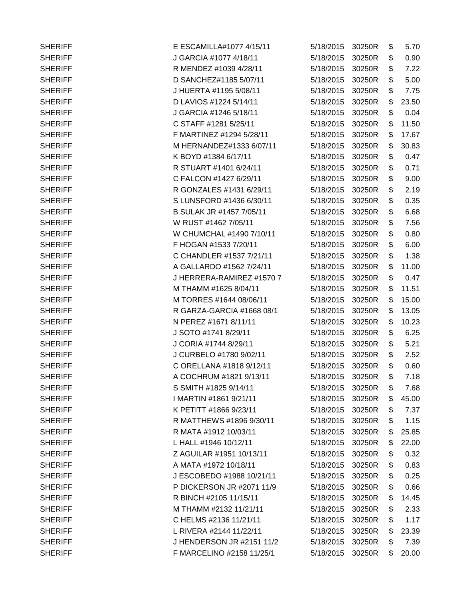| <b>SHERIFF</b> | E ESCAMILLA#1077 4/15/11  | 5/18/2015 | 30250R | \$<br>5.70  |
|----------------|---------------------------|-----------|--------|-------------|
| <b>SHERIFF</b> | J GARCIA #1077 4/18/11    | 5/18/2015 | 30250R | \$<br>0.90  |
| <b>SHERIFF</b> | R MENDEZ #1039 4/28/11    | 5/18/2015 | 30250R | \$<br>7.22  |
| <b>SHERIFF</b> | D SANCHEZ#1185 5/07/11    | 5/18/2015 | 30250R | \$<br>5.00  |
| <b>SHERIFF</b> | J HUERTA #1195 5/08/11    | 5/18/2015 | 30250R | \$<br>7.75  |
| <b>SHERIFF</b> | D LAVIOS #1224 5/14/11    | 5/18/2015 | 30250R | \$<br>23.50 |
| <b>SHERIFF</b> | J GARCIA #1246 5/18/11    | 5/18/2015 | 30250R | \$<br>0.04  |
| <b>SHERIFF</b> | C STAFF #1281 5/25/11     | 5/18/2015 | 30250R | \$<br>11.50 |
| <b>SHERIFF</b> | F MARTINEZ #1294 5/28/11  | 5/18/2015 | 30250R | \$<br>17.67 |
| <b>SHERIFF</b> | M HERNANDEZ#1333 6/07/11  | 5/18/2015 | 30250R | \$<br>30.83 |
| <b>SHERIFF</b> | K BOYD #1384 6/17/11      | 5/18/2015 | 30250R | \$<br>0.47  |
| <b>SHERIFF</b> | R STUART #1401 6/24/11    | 5/18/2015 | 30250R | \$<br>0.71  |
| <b>SHERIFF</b> | C FALCON #1427 6/29/11    | 5/18/2015 | 30250R | \$<br>9.00  |
| <b>SHERIFF</b> | R GONZALES #1431 6/29/11  | 5/18/2015 | 30250R | \$<br>2.19  |
| <b>SHERIFF</b> | S LUNSFORD #1436 6/30/11  | 5/18/2015 | 30250R | \$<br>0.35  |
| <b>SHERIFF</b> | B SULAK JR #1457 7/05/11  | 5/18/2015 | 30250R | \$<br>6.68  |
| <b>SHERIFF</b> | W RUST #1462 7/05/11      | 5/18/2015 | 30250R | \$<br>7.56  |
| <b>SHERIFF</b> | W CHUMCHAL #1490 7/10/11  | 5/18/2015 | 30250R | \$<br>0.80  |
| <b>SHERIFF</b> | F HOGAN #1533 7/20/11     | 5/18/2015 | 30250R | \$<br>6.00  |
| <b>SHERIFF</b> | C CHANDLER #1537 7/21/11  | 5/18/2015 | 30250R | \$<br>1.38  |
| <b>SHERIFF</b> | A GALLARDO #1562 7/24/11  | 5/18/2015 | 30250R | \$<br>11.00 |
| <b>SHERIFF</b> | J HERRERA-RAMIREZ #1570 7 | 5/18/2015 | 30250R | \$<br>0.47  |
| <b>SHERIFF</b> | M THAMM #1625 8/04/11     | 5/18/2015 | 30250R | \$<br>11.51 |
| <b>SHERIFF</b> | M TORRES #1644 08/06/11   | 5/18/2015 | 30250R | \$<br>15.00 |
| <b>SHERIFF</b> | R GARZA-GARCIA #1668 08/1 | 5/18/2015 | 30250R | \$<br>13.05 |
| <b>SHERIFF</b> | N PEREZ #1671 8/11/11     | 5/18/2015 | 30250R | \$<br>10.23 |
| <b>SHERIFF</b> | J SOTO #1741 8/29/11      | 5/18/2015 | 30250R | \$<br>6.25  |
| <b>SHERIFF</b> | J CORIA #1744 8/29/11     | 5/18/2015 | 30250R | \$<br>5.21  |
| <b>SHERIFF</b> | J CURBELO #1780 9/02/11   | 5/18/2015 | 30250R | \$<br>2.52  |
| <b>SHERIFF</b> | C ORELLANA #1818 9/12/11  | 5/18/2015 | 30250R | \$<br>0.60  |
| <b>SHERIFF</b> | A COCHRUM #1821 9/13/11   | 5/18/2015 | 30250R | \$<br>7.18  |
| <b>SHERIFF</b> | S SMITH #1825 9/14/11     | 5/18/2015 | 30250R | \$<br>7.68  |
| <b>SHERIFF</b> | I MARTIN #1861 9/21/11    | 5/18/2015 | 30250R | \$<br>45.00 |
| <b>SHERIFF</b> | K PETITT #1866 9/23/11    | 5/18/2015 | 30250R | \$<br>7.37  |
| <b>SHERIFF</b> | R MATTHEWS #1896 9/30/11  | 5/18/2015 | 30250R | \$<br>1.15  |
| <b>SHERIFF</b> | R MATA #1912 10/03/11     | 5/18/2015 | 30250R | \$<br>25.85 |
| <b>SHERIFF</b> | L HALL #1946 10/12/11     | 5/18/2015 | 30250R | \$<br>22.00 |
| <b>SHERIFF</b> | Z AGUILAR #1951 10/13/11  | 5/18/2015 | 30250R | \$<br>0.32  |
| <b>SHERIFF</b> | A MATA #1972 10/18/11     | 5/18/2015 | 30250R | \$<br>0.83  |
| <b>SHERIFF</b> | J ESCOBEDO #1988 10/21/11 | 5/18/2015 | 30250R | \$<br>0.25  |
| <b>SHERIFF</b> | P DICKERSON JR #2071 11/9 | 5/18/2015 | 30250R | \$<br>0.66  |
| <b>SHERIFF</b> | R BINCH #2105 11/15/11    | 5/18/2015 | 30250R | \$<br>14.45 |
| <b>SHERIFF</b> | M THAMM #2132 11/21/11    | 5/18/2015 | 30250R | \$<br>2.33  |
| <b>SHERIFF</b> | C HELMS #2136 11/21/11    | 5/18/2015 | 30250R | \$<br>1.17  |
| <b>SHERIFF</b> | L RIVERA #2144 11/22/11   | 5/18/2015 | 30250R | \$<br>23.39 |
| <b>SHERIFF</b> | J HENDERSON JR #2151 11/2 | 5/18/2015 | 30250R | \$<br>7.39  |
| <b>SHERIFF</b> | F MARCELINO #2158 11/25/1 | 5/18/2015 | 30250R | \$<br>20.00 |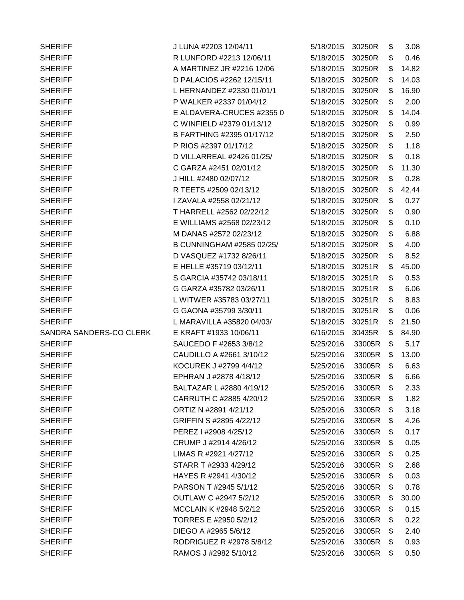| <b>SHERIFF</b>          | J LUNA #2203 12/04/11     | 5/18/2015 | 30250R | \$<br>3.08  |
|-------------------------|---------------------------|-----------|--------|-------------|
| <b>SHERIFF</b>          | R LUNFORD #2213 12/06/11  | 5/18/2015 | 30250R | \$<br>0.46  |
| <b>SHERIFF</b>          | A MARTINEZ JR #2216 12/06 | 5/18/2015 | 30250R | \$<br>14.82 |
| <b>SHERIFF</b>          | D PALACIOS #2262 12/15/11 | 5/18/2015 | 30250R | \$<br>14.03 |
| <b>SHERIFF</b>          | L HERNANDEZ #2330 01/01/1 | 5/18/2015 | 30250R | \$<br>16.90 |
| <b>SHERIFF</b>          | P WALKER #2337 01/04/12   | 5/18/2015 | 30250R | \$<br>2.00  |
| <b>SHERIFF</b>          | E ALDAVERA-CRUCES #2355 0 | 5/18/2015 | 30250R | \$<br>14.04 |
| <b>SHERIFF</b>          | C WINFIELD #2379 01/13/12 | 5/18/2015 | 30250R | \$<br>0.99  |
| <b>SHERIFF</b>          | B FARTHING #2395 01/17/12 | 5/18/2015 | 30250R | \$<br>2.50  |
| <b>SHERIFF</b>          | P RIOS #2397 01/17/12     | 5/18/2015 | 30250R | \$<br>1.18  |
| <b>SHERIFF</b>          | D VILLARREAL #2426 01/25/ | 5/18/2015 | 30250R | \$<br>0.18  |
| <b>SHERIFF</b>          | C GARZA #2451 02/01/12    | 5/18/2015 | 30250R | \$<br>11.30 |
| <b>SHERIFF</b>          | J HILL #2480 02/07/12     | 5/18/2015 | 30250R | \$<br>0.28  |
| <b>SHERIFF</b>          | R TEETS #2509 02/13/12    | 5/18/2015 | 30250R | \$<br>42.44 |
| <b>SHERIFF</b>          | I ZAVALA #2558 02/21/12   | 5/18/2015 | 30250R | \$<br>0.27  |
| <b>SHERIFF</b>          | T HARRELL #2562 02/22/12  | 5/18/2015 | 30250R | \$<br>0.90  |
| <b>SHERIFF</b>          | E WILLIAMS #2568 02/23/12 | 5/18/2015 | 30250R | \$<br>0.10  |
| <b>SHERIFF</b>          | M DANAS #2572 02/23/12    | 5/18/2015 | 30250R | \$<br>6.88  |
| <b>SHERIFF</b>          | B CUNNINGHAM #2585 02/25/ | 5/18/2015 | 30250R | \$<br>4.00  |
| <b>SHERIFF</b>          | D VASQUEZ #1732 8/26/11   | 5/18/2015 | 30250R | \$<br>8.52  |
| <b>SHERIFF</b>          | E HELLE #35719 03/12/11   | 5/18/2015 | 30251R | \$<br>45.00 |
| <b>SHERIFF</b>          | S GARCIA #35742 03/18/11  | 5/18/2015 | 30251R | \$<br>0.53  |
| <b>SHERIFF</b>          | G GARZA #35782 03/26/11   | 5/18/2015 | 30251R | \$<br>6.06  |
| <b>SHERIFF</b>          | L WITWER #35783 03/27/11  | 5/18/2015 | 30251R | \$<br>8.83  |
| <b>SHERIFF</b>          | G GAONA #35799 3/30/11    | 5/18/2015 | 30251R | \$<br>0.06  |
| <b>SHERIFF</b>          | L MARAVILLA #35820 04/03/ | 5/18/2015 | 30251R | \$<br>21.50 |
| SANDRA SANDERS-CO CLERK | E KRAFT #1933 10/06/11    | 6/16/2015 | 30435R | \$<br>84.90 |
| <b>SHERIFF</b>          | SAUCEDO F #2653 3/8/12    | 5/25/2016 | 33005R | \$<br>5.17  |
| <b>SHERIFF</b>          | CAUDILLO A #2661 3/10/12  | 5/25/2016 | 33005R | \$<br>13.00 |
| <b>SHERIFF</b>          | KOCUREK J #2799 4/4/12    | 5/25/2016 | 33005R | \$<br>6.63  |
| <b>SHERIFF</b>          | EPHRAN J #2878 4/18/12    | 5/25/2016 | 33005R | \$<br>6.66  |
| <b>SHERIFF</b>          | BALTAZAR L #2880 4/19/12  | 5/25/2016 | 33005R | \$<br>2.33  |
| <b>SHERIFF</b>          | CARRUTH C #2885 4/20/12   | 5/25/2016 | 33005R | \$<br>1.82  |
| <b>SHERIFF</b>          | ORTIZ N #2891 4/21/12     | 5/25/2016 | 33005R | \$<br>3.18  |
| <b>SHERIFF</b>          | GRIFFIN S #2895 4/22/12   | 5/25/2016 | 33005R | \$<br>4.26  |
| <b>SHERIFF</b>          | PEREZ I #2908 4/25/12     | 5/25/2016 | 33005R | \$<br>0.17  |
| <b>SHERIFF</b>          | CRUMP J #2914 4/26/12     | 5/25/2016 | 33005R | \$<br>0.05  |
| <b>SHERIFF</b>          | LIMAS R #2921 4/27/12     | 5/25/2016 | 33005R | \$<br>0.25  |
| <b>SHERIFF</b>          | STARR T #2933 4/29/12     | 5/25/2016 | 33005R | \$<br>2.68  |
| <b>SHERIFF</b>          | HAYES R #2941 4/30/12     | 5/25/2016 | 33005R | \$<br>0.03  |
| <b>SHERIFF</b>          | PARSON T #2945 5/1/12     | 5/25/2016 | 33005R | \$<br>0.78  |
| <b>SHERIFF</b>          | OUTLAW C #2947 5/2/12     | 5/25/2016 | 33005R | \$<br>30.00 |
| <b>SHERIFF</b>          | MCCLAIN K #2948 5/2/12    | 5/25/2016 | 33005R | \$<br>0.15  |
| <b>SHERIFF</b>          | TORRES E #2950 5/2/12     | 5/25/2016 | 33005R | \$<br>0.22  |
| <b>SHERIFF</b>          | DIEGO A #2965 5/6/12      | 5/25/2016 | 33005R | \$<br>2.40  |
| <b>SHERIFF</b>          | RODRIGUEZ R #2978 5/8/12  | 5/25/2016 | 33005R | \$<br>0.93  |
| <b>SHERIFF</b>          | RAMOS J #2982 5/10/12     | 5/25/2016 | 33005R | \$<br>0.50  |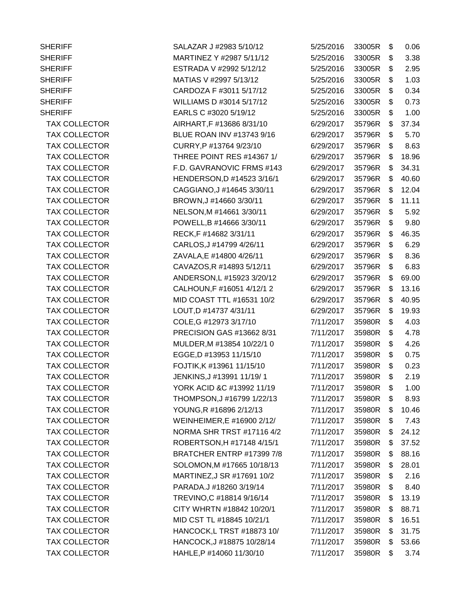SHERIFF SHERIFF SALAZAR J #2983 5/10/12 SHERIFF MARTINEZ Y #2987 5/11/12 SHERIFF **ESTRADA V #2992 5/12/12** SHERIFF MATIAS V #2997 5/13/12 SHERIFF CARDOZA F #3011 5/17/12 SHERIFF WILLIAMS D #3014 5/17/12 SHERIFF **EARLS C #3020 5/19/12** TAX COLLECTOR AIRHART, F #13686 8/31/10 TAX COLLECTOR BLUE ROAN INV #13743 9/16 TAX COLLECTOR CURRY, P #13764 9/23/10 TAX COLLECTOR THREE POINT RES #14367 1/ TAX COLLECTOR **F.D. GAVRANOVIC FRMS** #143 TAX COLLECTOR HENDERSON,D #14523 3/16/1 TAX COLLECTOR CAGGIANO, J#14645 3/30/11 TAX COLLECTOR BROWN, J#14660 3/30/11 TAX COLLECTOR NELSON,M #14661 3/30/11 TAX COLLECTOR **POWELL,B #14666 3/30/11** TAX COLLECTOR RECK,F #14682 3/31/11 TAX COLLECTOR CARLOS, J #14799 4/26/11 TAX COLLECTOR ZAVALA.E #14800 4/26/11 TAX COLLECTOR CAVAZOS, R #14893 5/12/11 TAX COLLECTOR ANDERSON,L #15923 3/20/12 TAX COLLECTOR CALHOUN, F #16051 4/12/12 TAX COLLECTOR MID COAST TTL #16531 10/2 TAX COLLECTOR LOUT, D #14737 4/31/11 TAX COLLECTOR COLE, G #12973 3/17/10 TAX COLLECTOR PRECISION GAS #13662 8/31 TAX COLLECTOR MULDER, M #13854 10/22/1 0 TAX COLLECTOR EGGE, D #13953 11/15/10 TAX COLLECTOR **FOJTIK, K#13961 11/15/10** TAX COLLECTOR JENKINS, J#13991 11/19/1 TAX COLLECTOR YORK ACID & C#13992 11/19 TAX COLLECTOR THOMPSON,J #16799 1/22/13 TAX COLLECTOR YOUNG.R #16896 2/12/13 TAX COLLECTOR WEINHEIMER,E #16900 2/12/ TAX COLLECTOR NORMA SHR TRST #17116 4/2 TAX COLLECTOR ROBERTSON, H #17148 4/15/1 TAX COLLECTOR BRATCHER ENTRP #17399 7/8 TAX COLLECTOR SOLOMON, M #17665 10/18/13 TAX COLLECTOR MARTINEZ, J SR #17691 10/2 TAX COLLECTOR PARADA.J #18260 3/19/14 TAX COLLECTOR TREVINO,C #18814 9/16/14 TAX COLLECTOR CITY WHRTN #18842 10/20/1 TAX COLLECTOR MID CST TL #18845 10/21/1 TAX COLLECTOR HANCOCK,L TRST #18873 10/ TAX COLLECTOR HANCOCK, J#18875 10/28/14 TAX COLLECTOR **HAHLE, P #14060 11/30/10** 

| 5/25/2016 | 33005R | \$<br>0.06  |
|-----------|--------|-------------|
| 5/25/2016 | 33005R | \$<br>3.38  |
| 5/25/2016 | 33005R | \$<br>2.95  |
| 5/25/2016 | 33005R | \$<br>1.03  |
| 5/25/2016 | 33005R | \$<br>0.34  |
| 5/25/2016 | 33005R | \$<br>0.73  |
| 5/25/2016 | 33005R | \$<br>1.00  |
| 6/29/2017 | 35796R | \$<br>37.34 |
| 6/29/2017 | 35796R | \$<br>5.70  |
| 6/29/2017 | 35796R | \$<br>8.63  |
| 6/29/2017 | 35796R | \$<br>18.96 |
| 6/29/2017 | 35796R | \$<br>34.31 |
| 6/29/2017 | 35796R | \$<br>40.60 |
| 6/29/2017 | 35796R | \$<br>12.04 |
| 6/29/2017 | 35796R | \$<br>11.11 |
| 6/29/2017 | 35796R | \$<br>5.92  |
| 6/29/2017 | 35796R | \$<br>9.80  |
| 6/29/2017 | 35796R | \$<br>46.35 |
| 6/29/2017 | 35796R | \$<br>6.29  |
| 6/29/2017 | 35796R | \$<br>8.36  |
| 6/29/2017 | 35796R | \$<br>6.83  |
| 6/29/2017 | 35796R | \$<br>69.00 |
| 6/29/2017 | 35796R | \$<br>13.16 |
| 6/29/2017 | 35796R | \$<br>40.95 |
| 6/29/2017 | 35796R | \$<br>19.93 |
| 7/11/2017 | 35980R | \$<br>4.03  |
| 7/11/2017 | 35980R | \$<br>4.78  |
| 7/11/2017 | 35980R | \$<br>4.26  |
| 7/11/2017 | 35980R | \$<br>0.75  |
| 7/11/2017 | 35980R | \$<br>0.23  |
| 7/11/2017 | 35980R | \$<br>2.19  |
| 7/11/2017 | 35980R | \$<br>1.00  |
| 7/11/2017 | 35980R | \$<br>8.93  |
| 7/11/2017 | 35980R | \$<br>10.46 |
| 7/11/2017 | 35980R | \$<br>7.43  |
| 7/11/2017 | 35980R | \$<br>24.12 |
| 7/11/2017 | 35980R | \$<br>37.52 |
| 7/11/2017 | 35980R | \$<br>88.16 |
| 7/11/2017 | 35980R | \$<br>28.01 |
| 7/11/2017 | 35980R | \$<br>2.16  |
| 7/11/2017 | 35980R | \$<br>8.40  |
| 7/11/2017 | 35980R | \$<br>13.19 |
| 7/11/2017 | 35980R | \$<br>88.71 |
| 7/11/2017 | 35980R | \$<br>16.51 |
| 7/11/2017 | 35980R | \$<br>31.75 |
| 7/11/2017 | 35980R | \$<br>53.66 |
| 7/11/2017 | 35980R | \$<br>3.74  |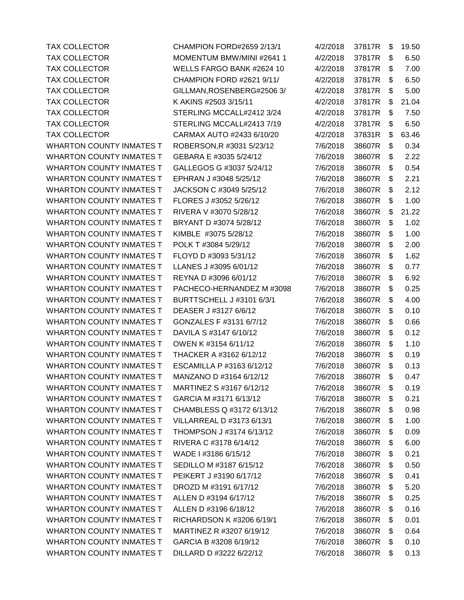TAX COLLECTOR MOMENTUM BMW/MINI #2641 1 4/2/2018 37817R \$ 6.50 TAX COLLECTOR WELLS FARGO BANK #2624 10 4/2/2018 37817R \$ 7.00 TAX COLLECTOR CHAMPION FORD #2621 9/11/ 4/2/2018 37817R \$ 6.50 TAX COLLECTOR GILLMAN,ROSENBERG#2506 3/ 4/2/2018 37817R \$ 5.00 TAX COLLECTOR K AKINS #2503 3/15/11 4/2/2018 37817R \$21.04 TAX COLLECTOR STERLING MCCALL#2412 3/24 4/2/2018 37817R \$ 7.50 TAX COLLECTOR STERLING MCCALL#2413 7/19 4/2/2018 37817R \$ 6.50 TAX COLLECTOR CARMAX AUTO #2433 6/10/20 4/2/2018 37831R \$63.46 WHARTON COUNTY INMATES T ROBERSON, R #3031 5/23/12 7/6/2018 38607R \$ 0.34 WHARTON COUNTY INMATES T GEBARA E #3035 5/24/12 7/6/2018 38607R \$ 2.22 WHARTON COUNTY INMATES T GALLEGOS G #3037 5/24/12  $\overline{7/6}$ /2018 38607R \$ 0.54 WHARTON COUNTY INMATES T EPHRAN J #3048 5/25/12 7/6/2018 38607R \$ 2.21 WHARTON COUNTY INMATES T JACKSON C #3049 5/25/12 7/6/2018 38607R \$ 2.12 WHARTON COUNTY INMATES T FLORES J #3052 5/26/12 7/6/2018 38607R \$ 1.00 WHARTON COUNTY INMATES T RIVERA V #3070 5/28/12 7/6/2018 38607R \$ 21.22 WHARTON COUNTY INMATES T BRYANT D #3074 5/28/12 7/6/2018 38607R \$ 1.02 WHARTON COUNTY INMATES T KIMBLE #3075 5/28/12 7/6/2018 38607R \$ 1.00 WHARTON COUNTY INMATES T POLK T #3084 5/29/12 7/6/2018 38607R \$ 2.00 WHARTON COUNTY INMATES T FLOYD D #3093 5/31/12 7/6/2018 38607R \$ 1.62 WHARTON COUNTY INMATES T LLANES J #3095 6/01/12 7/6/2018 38607R \$ 0.77 WHARTON COUNTY INMATES T REYNA D #3096 6/01/12 7/6/2018 38607R \$ 6.92 WHARTON COUNTY INMATES T PACHECO-HERNANDEZ M #3098 7/6/2018 38607R \$ 0.25 WHARTON COUNTY INMATES T BURTTSCHELL J #3101 6/3/1 7/6/2018 38607R \$ 4.00 WHARTON COUNTY INMATES T DEASER J #3127 6/6/12  $\overline{7/6}$ /2018 38607R \$ 0.10 WHARTON COUNTY INMATES T GONZALES F #3131 6/7/12 7/6/2018 38607R \$ 0.66 WHARTON COUNTY INMATES T DAVILA S #3147 6/10/12 7/6/2018 38607R \$ 0.12 WHARTON COUNTY INMATES T OWEN K #3154 6/11/12 7/6/2018 38607R \$ 1.10 WHARTON COUNTY INMATES T THACKER A #3162 6/12/12  $\overline{7/6}$ /2018 38607R \$ 0.19 WHARTON COUNTY INMATES T ESCAMILLA P #3163 6/12/12  $\overline{7/6}/2018$  38607R \$ 0.13 WHARTON COUNTY INMATES T MANZANO D #3164 6/12/12 7/6/2018 38607R \$ 0.47 WHARTON COUNTY INMATES T MARTINEZ S #3167 6/12/12 7/6/2018 38607R \$ 0.19 WHARTON COUNTY INMATES T GARCIA M #3171 6/13/12 7/6/2018 38607R \$ 0.21 WHARTON COUNTY INMATES T CHAMBLESS Q #3172 6/13/12 7/6/2018 38607R \$ 0.98 WHARTON COUNTY INMATES T VILLARREAL D #3173 6/13/1 7/6/2018 38607R \$ 1.00 WHARTON COUNTY INMATES T THOMPSON J #3174 6/13/12 7/6/2018 38607R \$ 0.09 WHARTON COUNTY INMATES T RIVERA C #3178 6/14/12 7/6/2018 38607R \$ 6.00 WHARTON COUNTY INMATES T WADE 1 #3186 6/15/12 7/6/2018 38607R \$ 0.21 WHARTON COUNTY INMATES T SEDILLO M #3187 6/15/12 7/6/2018 38607R \$ 0.50 WHARTON COUNTY INMATES T PEIKERT J #3190 6/17/12 7/6/2018 38607R \$ 0.41 WHARTON COUNTY INMATES T DROZD M #3191 6/17/12 7/6/2018 38607R \$ 5.20 WHARTON COUNTY INMATES T ALLEN D #3194 6/17/12 7/6/2018 38607R \$ 0.25 WHARTON COUNTY INMATES T ALLEN D #3196 6/18/12 7/6/2018 38607R \$ 0.16 WHARTON COUNTY INMATES T RICHARDSON K #3206 6/19/1 7/6/2018 38607R \$ 0.01 WHARTON COUNTY INMATES T MARTINEZ R #3207 6/19/12 7/6/2018 38607R \$ 0.64 WHARTON COUNTY INMATES T GARCIA B #3208 6/19/12 7/6/2018 38607R \$ 0.10 WHARTON COUNTY INMATES T DILLARD D #3222 6/22/12 7/6/2018 38607R \$ 0.13

TAX COLLECTOR CHAMPION FORD#2659 2/13/1 4/2/2018 37817R \$19.50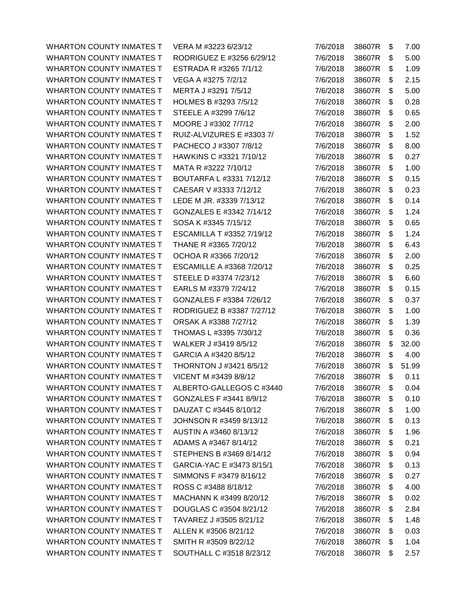WHARTON COUNTY INMATES T VERA M #3223 6/23/12 WHARTON COUNTY INMATES T RODRIGUEZ E #3256 6/29/12 WHARTON COUNTY INMATES T ESTRADA R #3265 7/1/12 WHARTON COUNTY INMATES T VEGA A #3275 7/2/12 WHARTON COUNTY INMATES T MERTA J #3291 7/5/12 WHARTON COUNTY INMATES T HOLMES B #3293 7/5/12 WHARTON COUNTY INMATES T STEELE A #3299 7/6/12 WHARTON COUNTY INMATES T MOORE J #3302 7/7/12 WHARTON COUNTY INMATES T RUIZ-ALVIZURES E #3303 7/ WHARTON COUNTY INMATES T PACHECO J #3307 7/8/12 WHARTON COUNTY INMATES T HAWKINS C #3321 7/10/12 WHARTON COUNTY INMATES T MATA R #3222 7/10/12 WHARTON COUNTY INMATES T BOUTARFA L #3331 7/12/12 WHARTON COUNTY INMATES T CAESAR V #3333 7/12/12 WHARTON COUNTY INMATES T LEDE M JR. #3339 7/13/12 WHARTON COUNTY INMATES T GONZALES E #3342 7/14/12 WHARTON COUNTY INMATES T SOSA K #3345 7/15/12 WHARTON COUNTY INMATES T ESCAMILLA T #3352 7/19/12 WHARTON COUNTY INMATES T THANE R #3365 7/20/12 WHARTON COUNTY INMATES T OCHOA R #3366 7/20/12 WHARTON COUNTY INMATES T ESCAMILLE A #3368 7/20/12 WHARTON COUNTY INMATES T STEELE D #3374 7/23/12 WHARTON COUNTY INMATES T EARLS M #3379 7/24/12 WHARTON COUNTY INMATES T GONZALES F #3384 7/26/12 WHARTON COUNTY INMATES T RODRIGUEZ B #3387 7/27/12 WHARTON COUNTY INMATES T ORSAK A #3388 7/27/12 WHARTON COUNTY INMATES T THOMAS L #3395 7/30/12 WHARTON COUNTY INMATES T WALKER J #3419 8/5/12 WHARTON COUNTY INMATES T GARCIA A #3420 8/5/12 WHARTON COUNTY INMATES T THORNTON J#3421 8/5/12 WHARTON COUNTY INMATES T VICENT M #3439 8/8/12 WHARTON COUNTY INMATES T ALBERTO-GALLEGOS C #3440 WHARTON COUNTY INMATES T GONZALES F #3441 8/9/12 WHARTON COUNTY INMATES T DAUZAT C #3445 8/10/12 WHARTON COUNTY INMATES T JOHNSON R #3459 8/13/12 WHARTON COUNTY INMATES T AUSTIN A #3460 8/13/12 WHARTON COUNTY INMATES T ADAMS A #3467 8/14/12 WHARTON COUNTY INMATES T STEPHENS B #3469 8/14/12 WHARTON COUNTY INMATES T GARCIA-YAC E #3473 8/15/1 WHARTON COUNTY INMATES T SIMMONS F #3479 8/16/12 WHARTON COUNTY INMATES T ROSS C #3488 8/18/12 WHARTON COUNTY INMATES T MACHANN K #3499 8/20/12 WHARTON COUNTY INMATES T DOUGLAS C #3504 8/21/12 WHARTON COUNTY INMATES T TAVAREZ J #3505 8/21/12 WHARTON COUNTY INMATES T ALLEN K #3506 8/21/12 WHARTON COUNTY INMATES T SMITH R #3509 8/22/12 WHARTON COUNTY INMATES T SOUTHALL C #3518 8/23/12

| 7/6/2018 | 38607R | \$<br>7.00  |
|----------|--------|-------------|
| 7/6/2018 | 38607R | \$<br>5.00  |
| 7/6/2018 | 38607R | \$<br>1.09  |
| 7/6/2018 | 38607R | \$<br>2.15  |
| 7/6/2018 | 38607R | \$<br>5.00  |
| 7/6/2018 | 38607R | \$<br>0.28  |
| 7/6/2018 | 38607R | \$<br>0.65  |
| 7/6/2018 | 38607R | \$<br>2.00  |
| 7/6/2018 | 38607R | \$<br>1.52  |
| 7/6/2018 | 38607R | \$<br>8.00  |
| 7/6/2018 | 38607R | \$<br>0.27  |
| 7/6/2018 | 38607R | \$<br>1.00  |
| 7/6/2018 | 38607R | \$<br>0.15  |
| 7/6/2018 | 38607R | \$<br>0.23  |
| 7/6/2018 | 38607R | \$<br>0.14  |
| 7/6/2018 | 38607R | \$<br>1.24  |
| 7/6/2018 | 38607R | \$<br>0.65  |
| 7/6/2018 | 38607R | \$<br>1.24  |
| 7/6/2018 | 38607R | \$<br>6.43  |
| 7/6/2018 | 38607R | \$<br>2.00  |
| 7/6/2018 | 38607R | \$<br>0.25  |
| 7/6/2018 | 38607R | \$<br>6.60  |
| 7/6/2018 | 38607R | \$<br>0.15  |
| 7/6/2018 | 38607R | \$<br>0.37  |
| 7/6/2018 | 38607R | \$<br>1.00  |
| 7/6/2018 | 38607R | \$<br>1.39  |
| 7/6/2018 | 38607R | \$<br>0.36  |
| 7/6/2018 | 38607R | \$<br>32.00 |
| 7/6/2018 | 38607R | \$<br>4.00  |
| 7/6/2018 | 38607R | \$<br>51.99 |
| 7/6/2018 | 38607R | \$<br>0.11  |
| 7/6/2018 | 38607R | \$<br>0.04  |
| 7/6/2018 | 38607R | \$<br>0.10  |
| 7/6/2018 | 38607R | \$<br>1.00  |
| 7/6/2018 | 38607R | \$<br>0.13  |
| 7/6/2018 | 38607R | \$<br>1.96  |
| 7/6/2018 | 38607R | \$<br>0.21  |
| 7/6/2018 | 38607R | \$<br>0.94  |
| 7/6/2018 | 38607R | \$<br>0.13  |
| 7/6/2018 | 38607R | \$<br>0.27  |
| 7/6/2018 | 38607R | \$<br>4.00  |
| 7/6/2018 | 38607R | \$<br>0.02  |
| 7/6/2018 | 38607R | \$<br>2.84  |
| 7/6/2018 | 38607R | \$<br>1.48  |
| 7/6/2018 | 38607R | \$<br>0.03  |
| 7/6/2018 | 38607R | \$<br>1.04  |
| 7/6/2018 | 38607R | \$<br>2.57  |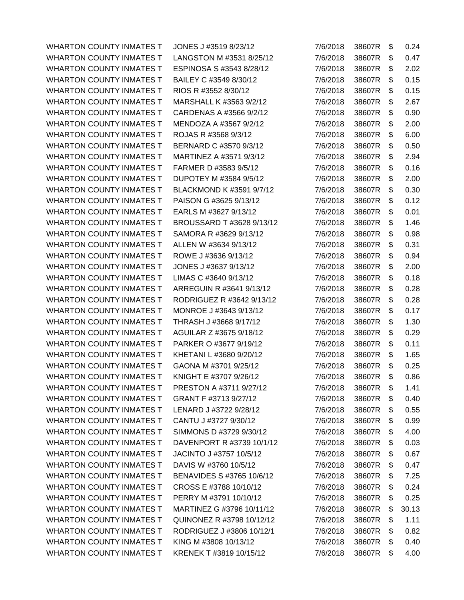WHARTON COUNTY INMATES T JONES J #3519 8/23/12 WHARTON COUNTY INMATES T LANGSTON M #3531 8/25/12 WHARTON COUNTY INMATES T ESPINOSA S #3543 8/28/12 WHARTON COUNTY INMATES T BAILEY C #3549 8/30/12 WHARTON COUNTY INMATES T RIOS R #3552 8/30/12 WHARTON COUNTY INMATES T MARSHALL K #3563 9/2/12 WHARTON COUNTY INMATES T CARDENAS A #3566 9/2/12 WHARTON COUNTY INMATES T MENDOZA A #3567 9/2/12 WHARTON COUNTY INMATES T ROJAS R #3568 9/3/12 WHARTON COUNTY INMATES T BERNARD C #3570 9/3/12 WHARTON COUNTY INMATES T MARTINEZ A #3571 9/3/12 WHARTON COUNTY INMATES T FARMER D #3583 9/5/12 WHARTON COUNTY INMATES T DUPOTEY M #3584 9/5/12 WHARTON COUNTY INMATES T BLACKMOND K #3591 9/7/12 WHARTON COUNTY INMATES T PAISON G #3625 9/13/12 WHARTON COUNTY INMATES T EARLS M #3627 9/13/12 WHARTON COUNTY INMATES T BROUSSARD T #3628 9/13/12 WHARTON COUNTY INMATES T SAMORA R #3629 9/13/12 WHARTON COUNTY INMATES T ALLEN W #3634 9/13/12 WHARTON COUNTY INMATES T ROWE J #3636 9/13/12 WHARTON COUNTY INMATES T JONES J #3637 9/13/12 WHARTON COUNTY INMATES T LIMAS C #3640 9/13/12 WHARTON COUNTY INMATES T ARREGUIN R #3641 9/13/12 WHARTON COUNTY INMATES T RODRIGUEZ R #3642 9/13/12 WHARTON COUNTY INMATES T MONROE J #3643 9/13/12 WHARTON COUNTY INMATES T THRASH J #3668 9/17/12 WHARTON COUNTY INMATES T AGUILAR Z #3675 9/18/12 WHARTON COUNTY INMATES T PARKER O #3677 9/19/12 WHARTON COUNTY INMATES T KHETANI L #3680 9/20/12 WHARTON COUNTY INMATES T GAONA M #3701 9/25/12 WHARTON COUNTY INMATES T KNIGHT E #3707 9/26/12 WHARTON COUNTY INMATES T PRESTON A #3711 9/27/12 WHARTON COUNTY INMATES T GRANT F #3713 9/27/12 WHARTON COUNTY INMATES T LENARD J #3722 9/28/12 WHARTON COUNTY INMATES T CANTU J #3727 9/30/12 WHARTON COUNTY INMATES T SIMMONS D #3729 9/30/12 WHARTON COUNTY INMATES T DAVENPORT R #3739 10/1/12 WHARTON COUNTY INMATES T JACINTO J #3757 10/5/12 WHARTON COUNTY INMATES T DAVIS W #3760 10/5/12 WHARTON COUNTY INMATES T BENAVIDES S #3765 10/6/12 WHARTON COUNTY INMATES T CROSS E #3788 10/10/12 WHARTON COUNTY INMATES T PERRY M #3791 10/10/12 WHARTON COUNTY INMATES T MARTINEZ G #3796 10/11/12 WHARTON COUNTY INMATES T QUINONEZ R #3798 10/12/12 WHARTON COUNTY INMATES T RODRIGUEZ J #3806 10/12/1 WHARTON COUNTY INMATES T KING M #3808 10/13/12 WHARTON COUNTY INMATES T KRENEK T #3819 10/15/12

| 7/6/2018 | 38607R | \$<br>0.24  |
|----------|--------|-------------|
| 7/6/2018 | 38607R | \$<br>0.47  |
| 7/6/2018 | 38607R | \$<br>2.02  |
| 7/6/2018 | 38607R | \$<br>0.15  |
| 7/6/2018 | 38607R | \$<br>0.15  |
| 7/6/2018 | 38607R | \$<br>2.67  |
| 7/6/2018 | 38607R | \$<br>0.90  |
| 7/6/2018 | 38607R | \$<br>2.00  |
| 7/6/2018 | 38607R | \$<br>6.00  |
| 7/6/2018 | 38607R | \$<br>0.50  |
| 7/6/2018 | 38607R | \$<br>2.94  |
| 7/6/2018 | 38607R | \$<br>0.16  |
| 7/6/2018 | 38607R | \$<br>2.00  |
| 7/6/2018 | 38607R | \$<br>0.30  |
| 7/6/2018 | 38607R | \$<br>0.12  |
| 7/6/2018 | 38607R | \$<br>0.01  |
| 7/6/2018 | 38607R | \$<br>1.46  |
| 7/6/2018 | 38607R | \$<br>0.98  |
| 7/6/2018 | 38607R | \$<br>0.31  |
| 7/6/2018 | 38607R | \$<br>0.94  |
| 7/6/2018 | 38607R | \$<br>2.00  |
| 7/6/2018 | 38607R | \$<br>0.18  |
| 7/6/2018 | 38607R | \$<br>0.28  |
| 7/6/2018 | 38607R | \$<br>0.28  |
| 7/6/2018 | 38607R | \$<br>0.17  |
| 7/6/2018 | 38607R | \$<br>1.30  |
| 7/6/2018 | 38607R | \$<br>0.29  |
| 7/6/2018 | 38607R | \$<br>0.11  |
| 7/6/2018 | 38607R | \$<br>1.65  |
| 7/6/2018 | 38607R | \$<br>0.25  |
| 7/6/2018 | 38607R | \$<br>0.86  |
| 7/6/2018 | 38607R | \$<br>1.41  |
| 7/6/2018 | 38607R | \$<br>0.40  |
| 7/6/2018 | 38607R | \$<br>0.55  |
| 7/6/2018 | 38607R | \$<br>0.99  |
| 7/6/2018 | 38607R | \$<br>4.00  |
| 7/6/2018 | 38607R | \$<br>0.03  |
| 7/6/2018 | 38607R | \$<br>0.67  |
| 7/6/2018 | 38607R | \$<br>0.47  |
| 7/6/2018 | 38607R | \$<br>7.25  |
| 7/6/2018 | 38607R | \$<br>0.24  |
| 7/6/2018 | 38607R | \$<br>0.25  |
| 7/6/2018 | 38607R | \$<br>30.13 |
| 7/6/2018 | 38607R | \$<br>1.11  |
| 7/6/2018 | 38607R | \$<br>0.82  |
| 7/6/2018 | 38607R | \$<br>0.40  |
| 7/6/2018 | 38607R | \$<br>4.00  |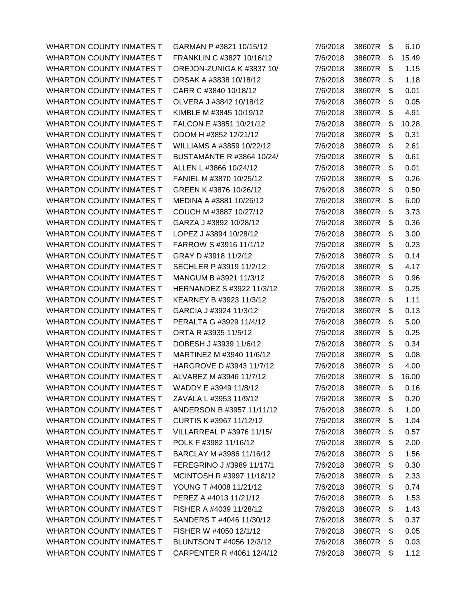WHARTON COUNTY INMATES T GARMAN P #3821 10/15/12 WHARTON COUNTY INMATES T FRANKLIN C #3827 10/16/12 WHARTON COUNTY INMATES T OREJON-ZUNIGA K #3837 10/ WHARTON COUNTY INMATES T ORSAK A #3838 10/18/12 WHARTON COUNTY INMATES T CARR C #3840 10/18/12 WHARTON COUNTY INMATES T OLVERA J #3842 10/18/12 WHARTON COUNTY INMATES T KIMBLE M #3845 10/19/12 WHARTON COUNTY INMATES T FALCON E #3851 10/21/12 WHARTON COUNTY INMATES T ODOM H #3852 12/21/12 WHARTON COUNTY INMATES T WILLIAMS A #3859 10/22/12 WHARTON COUNTY INMATES T BUSTAMANTE R #3864 10/24/ WHARTON COUNTY INMATES T ALLEN L #3866 10/24/12 WHARTON COUNTY INMATES T FANIEL M #3870 10/25/12 WHARTON COUNTY INMATES T GREEN K #3876 10/26/12 WHARTON COUNTY INMATES T MEDINA A #3881 10/26/12 WHARTON COUNTY INMATES T COUCH M #3887 10/27/12 WHARTON COUNTY INMATES T GARZA J #3892 10/28/12 WHARTON COUNTY INMATES T LOPEZ J #3894 10/28/12 WHARTON COUNTY INMATES T FARROW S#3916 11/1/12 WHARTON COUNTY INMATES T GRAY D #3918 11/2/12 WHARTON COUNTY INMATES T SECHLER P #3919 11/2/12 WHARTON COUNTY INMATES T MANGUM B #3921 11/3/12 WHARTON COUNTY INMATES T HERNANDEZ S #3922 11/3/12 WHARTON COUNTY INMATES T KEARNEY B #3923 11/3/12 WHARTON COUNTY INMATES T GARCIA J #3924 11/3/12 WHARTON COUNTY INMATES T PERALTA G #3929 11/4/12 WHARTON COUNTY INMATES T ORTA R #3935 11/5/12 WHARTON COUNTY INMATES T DOBESH J #3939 11/6/12 WHARTON COUNTY INMATES T MARTINEZ M #3940 11/6/12 WHARTON COUNTY INMATES T HARGROVE D #3943 11/7/12 WHARTON COUNTY INMATES T ALVAREZ M #3946 11/7/12 WHARTON COUNTY INMATES T WADDY E #3949 11/8/12 WHARTON COUNTY INMATES T ZAVALA L #3953 11/9/12 WHARTON COUNTY INMATES T ANDERSON B #3957 11/11/12 WHARTON COUNTY INMATES T CURTIS K #3967 11/12/12 WHARTON COUNTY INMATES T VILLARREAL P #3976 11/15/ WHARTON COUNTY INMATES T POLK F #3982 11/16/12 WHARTON COUNTY INMATES T BARCLAY M #3986 11/16/12 WHARTON COUNTY INMATES T FEREGRINO J #3989 11/17/1 WHARTON COUNTY INMATES T MCINTOSH R #3997 11/18/12 WHARTON COUNTY INMATES T YOUNG T #4008 11/21/12 WHARTON COUNTY INMATES  $T$  PEREZ A #4013 11/21/12 WHARTON COUNTY INMATES T FISHER A #4039 11/28/12 WHARTON COUNTY INMATES T SANDERS T #4046 11/30/12 WHARTON COUNTY INMATES T FISHER W #4050 12/1/12 WHARTON COUNTY INMATES T BLUNTSON T #4056 12/3/12 WHARTON COUNTY INMATES T CARPENTER R #4061 12/4/12

| 7/6/2018 | 38607R | \$<br>6.10  |
|----------|--------|-------------|
| 7/6/2018 | 38607R | \$<br>15.49 |
| 7/6/2018 | 38607R | \$<br>1.15  |
| 7/6/2018 | 38607R | \$<br>1.18  |
| 7/6/2018 | 38607R | \$<br>0.01  |
| 7/6/2018 | 38607R | \$<br>0.05  |
| 7/6/2018 | 38607R | \$<br>4.91  |
| 7/6/2018 | 38607R | \$<br>10.28 |
| 7/6/2018 | 38607R | \$<br>0.31  |
| 7/6/2018 | 38607R | \$<br>2.61  |
| 7/6/2018 | 38607R | \$<br>0.61  |
| 7/6/2018 | 38607R | \$<br>0.01  |
| 7/6/2018 | 38607R | \$<br>0.26  |
| 7/6/2018 | 38607R | \$<br>0.50  |
| 7/6/2018 | 38607R | \$<br>6.00  |
| 7/6/2018 | 38607R | \$<br>3.73  |
| 7/6/2018 | 38607R | \$<br>0.36  |
| 7/6/2018 | 38607R | \$<br>3.00  |
| 7/6/2018 | 38607R | \$<br>0.23  |
| 7/6/2018 | 38607R | \$<br>0.14  |
| 7/6/2018 | 38607R | \$<br>4.17  |
| 7/6/2018 | 38607R | \$<br>0.96  |
| 7/6/2018 | 38607R | \$<br>0.25  |
| 7/6/2018 | 38607R | \$<br>1.11  |
| 7/6/2018 | 38607R | \$<br>0.13  |
| 7/6/2018 | 38607R | \$<br>5.00  |
| 7/6/2018 | 38607R | \$<br>0.25  |
| 7/6/2018 | 38607R | \$<br>0.34  |
| 7/6/2018 | 38607R | \$<br>0.08  |
| 7/6/2018 | 38607R | \$<br>4.00  |
| 7/6/2018 | 38607R | \$<br>16.00 |
| 7/6/2018 | 38607R | \$<br>0.16  |
| 7/6/2018 | 38607R | \$<br>0.20  |
| 7/6/2018 | 38607R | \$<br>1.00  |
| 7/6/2018 | 38607R | \$<br>1.04  |
| 7/6/2018 | 38607R | \$<br>0.57  |
| 7/6/2018 | 38607R | \$<br>2.00  |
| 7/6/2018 | 38607R | \$<br>1.56  |
| 7/6/2018 | 38607R | \$<br>0.30  |
| 7/6/2018 | 38607R | \$<br>2.33  |
| 7/6/2018 | 38607R | \$<br>0.74  |
| 7/6/2018 | 38607R | \$<br>1.53  |
| 7/6/2018 | 38607R | \$<br>1.43  |
| 7/6/2018 | 38607R | \$<br>0.37  |
| 7/6/2018 | 38607R | \$<br>0.05  |
| 7/6/2018 | 38607R | \$<br>0.03  |
| 7/6/2018 | 38607R | \$<br>1.12  |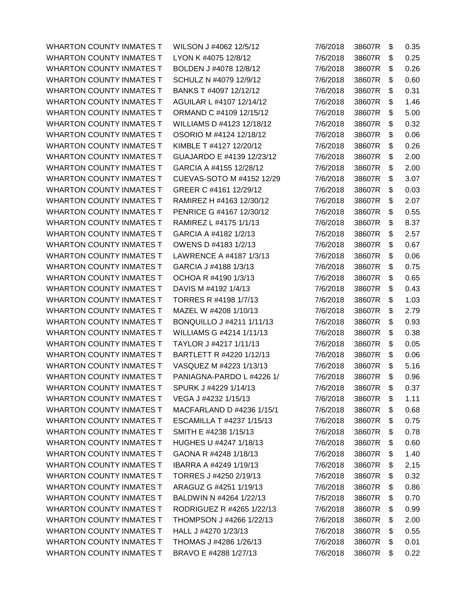WHARTON COUNTY INMATES T WILSON J #4062 12/5/12 WHARTON COUNTY INMATES T LYON K #4075 12/8/12 WHARTON COUNTY INMATES T BOLDEN J #4078 12/8/12 WHARTON COUNTY INMATES T SCHULZ N #4079 12/9/12 WHARTON COUNTY INMATES T BANKS T #4097 12/12/12 WHARTON COUNTY INMATES T AGUILAR L #4107 12/14/12 WHARTON COUNTY INMATES T ORMAND C #4109 12/15/12 WHARTON COUNTY INMATES T WILLIAMS D #4123 12/18/12 WHARTON COUNTY INMATES T OSORIO M #4124 12/18/12 WHARTON COUNTY INMATES T KIMBLE T #4127 12/20/12 WHARTON COUNTY INMATES T GUAJARDO E #4139 12/23/12 WHARTON COUNTY INMATES T GARCIA A #4155 12/28/12 WHARTON COUNTY INMATES T CUEVAS-SOTO M #4152 12/29 WHARTON COUNTY INMATES T GREER C #4161 12/29/12 WHARTON COUNTY INMATES T RAMIREZ H #4163 12/30/12 WHARTON COUNTY INMATES T PENRICE G #4167 12/30/12 WHARTON COUNTY INMATES T RAMIREZ L #4175 1/1/13 WHARTON COUNTY INMATES T GARCIA A #4182 1/2/13 WHARTON COUNTY INMATES T OWENS D #4183 1/2/13 WHARTON COUNTY INMATES T LAWRENCE A #4187 1/3/13 WHARTON COUNTY INMATES T GARCIA J #4188 1/3/13 WHARTON COUNTY INMATES T OCHOA R #4190 1/3/13 WHARTON COUNTY INMATES T DAVIS M #4192 1/4/13 WHARTON COUNTY INMATES T TORRES R #4198 1/7/13 WHARTON COUNTY INMATES T MAZEL W #4208 1/10/13 WHARTON COUNTY INMATES T BONQUILLO J #4211 1/11/13 WHARTON COUNTY INMATES T WILLIAMS G #4214 1/11/13 WHARTON COUNTY INMATES T TAYLOR J #4217 1/11/13 WHARTON COUNTY INMATES T BARTLETT R #4220 1/12/13 WHARTON COUNTY INMATES T VASQUEZ M #4223 1/13/13 WHARTON COUNTY INMATES T PANIAGNA-PARDO L #4226 1/ WHARTON COUNTY INMATES T SPURK J #4229 1/14/13 WHARTON COUNTY INMATES T VEGA J #4232 1/15/13 WHARTON COUNTY INMATES T MACFARLAND D #4236 1/15/1 WHARTON COUNTY INMATES T ESCAMILLA T #4237 1/15/13 WHARTON COUNTY INMATES T SMITH E #4238 1/15/13 WHARTON COUNTY INMATES T HUGHES U #4247 1/18/13 WHARTON COUNTY INMATES T GAONA R #4248 1/18/13 WHARTON COUNTY INMATES T IBARRA A #4249 1/19/13 WHARTON COUNTY INMATES T TORRES J #4250 2/19/13 WHARTON COUNTY INMATES T ARAGUZ G #4251 1/19/13 WHARTON COUNTY INMATES T BALDWIN N #4264 1/22/13 WHARTON COUNTY INMATES T RODRIGUEZ R #4265 1/22/13 WHARTON COUNTY INMATES T THOMPSON J#4266 1/22/13 WHARTON COUNTY INMATES T HALL J #4270 1/23/13 WHARTON COUNTY INMATES T THOMAS J #4286 1/26/13 WHARTON COUNTY INMATES T BRAVO E #4288 1/27/13

| 7/6/2018 | 38607R | \$<br>0.35 |
|----------|--------|------------|
| 7/6/2018 | 38607R | \$<br>0.25 |
| 7/6/2018 | 38607R | \$<br>0.26 |
| 7/6/2018 | 38607R | \$<br>0.60 |
| 7/6/2018 | 38607R | \$<br>0.31 |
| 7/6/2018 | 38607R | \$<br>1.46 |
| 7/6/2018 | 38607R | \$<br>5.00 |
| 7/6/2018 | 38607R | \$<br>0.32 |
| 7/6/2018 | 38607R | \$<br>0.06 |
| 7/6/2018 | 38607R | \$<br>0.26 |
| 7/6/2018 | 38607R | \$<br>2.00 |
| 7/6/2018 | 38607R | \$<br>2.00 |
| 7/6/2018 | 38607R | \$<br>3.07 |
| 7/6/2018 | 38607R | \$<br>0.03 |
| 7/6/2018 | 38607R | \$<br>2.07 |
| 7/6/2018 | 38607R | \$<br>0.55 |
| 7/6/2018 | 38607R | \$<br>8.37 |
| 7/6/2018 | 38607R | \$<br>2.57 |
| 7/6/2018 | 38607R | \$<br>0.67 |
| 7/6/2018 | 38607R | \$<br>0.06 |
| 7/6/2018 | 38607R | \$<br>0.75 |
| 7/6/2018 | 38607R | \$<br>0.65 |
| 7/6/2018 | 38607R | \$<br>0.43 |
| 7/6/2018 | 38607R | \$<br>1.03 |
| 7/6/2018 | 38607R | \$<br>2.79 |
| 7/6/2018 | 38607R | \$<br>0.93 |
| 7/6/2018 | 38607R | \$<br>0.38 |
| 7/6/2018 | 38607R | \$<br>0.05 |
| 7/6/2018 | 38607R | \$<br>0.06 |
| 7/6/2018 | 38607R | \$<br>5.16 |
| 7/6/2018 | 38607R | \$<br>0.96 |
| 7/6/2018 | 38607R | \$<br>0.37 |
| 7/6/2018 | 38607R | \$<br>1.11 |
| 7/6/2018 | 38607R | \$<br>0.68 |
| 7/6/2018 | 38607R | \$<br>0.75 |
| 7/6/2018 | 38607R | \$<br>0.78 |
| 7/6/2018 | 38607R | \$<br>0.60 |
| 7/6/2018 | 38607R | \$<br>1.40 |
| 7/6/2018 | 38607R | \$<br>2.15 |
| 7/6/2018 | 38607R | \$<br>0.32 |
| 7/6/2018 | 38607R | \$<br>0.86 |
| 7/6/2018 | 38607R | \$<br>0.70 |
| 7/6/2018 | 38607R | \$<br>0.99 |
| 7/6/2018 | 38607R | \$<br>2.00 |
| 7/6/2018 | 38607R | \$<br>0.55 |
| 7/6/2018 | 38607R | \$<br>0.01 |
| 7/6/2018 | 38607R | \$<br>0.22 |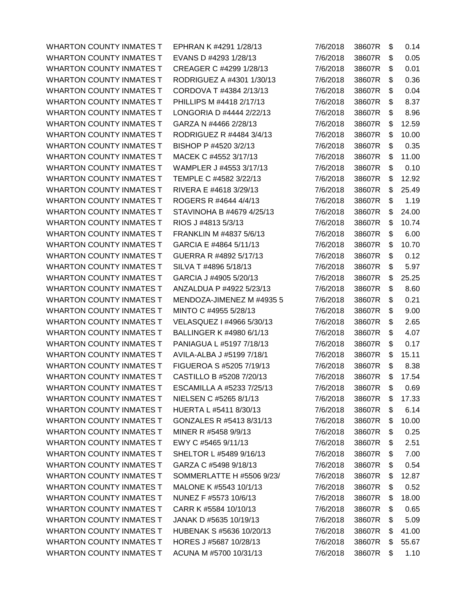WHARTON COUNTY INMATES T EPHRAN K #4291 1/28/13 WHARTON COUNTY INMATES T EVANS D #4293 1/28/13 WHARTON COUNTY INMATES T CREAGER C #4299 1/28/13 WHARTON COUNTY INMATES T RODRIGUEZ A #4301 1/30/13 WHARTON COUNTY INMATES T CORDOVA T #4384 2/13/13 WHARTON COUNTY INMATES T PHILLIPS M #4418 2/17/13 WHARTON COUNTY INMATES T LONGORIA D #4444 2/22/13 WHARTON COUNTY INMATES T GARZA N #4466 2/28/13 WHARTON COUNTY INMATES T RODRIGUEZ R #4484 3/4/13 WHARTON COUNTY INMATES T BISHOP P #4520 3/2/13 WHARTON COUNTY INMATES T MACEK C #4552 3/17/13 WHARTON COUNTY INMATES T WAMPLER J #4553 3/17/13 WHARTON COUNTY INMATES T TEMPLE C #4582 3/22/13 WHARTON COUNTY INMATES T RIVERA E #4618 3/29/13 WHARTON COUNTY INMATES T ROGERS R #4644 4/4/13 WHARTON COUNTY INMATES T STAVINOHA B #4679 4/25/13 WHARTON COUNTY INMATES T RIOS J #4813 5/3/13 WHARTON COUNTY INMATES T FRANKLIN M #4837 5/6/13 WHARTON COUNTY INMATES T GARCIA E #4864 5/11/13 WHARTON COUNTY INMATES T GUERRA R #4892 5/17/13 WHARTON COUNTY INMATES T SILVA T #4896 5/18/13 WHARTON COUNTY INMATES T GARCIA J #4905 5/20/13 WHARTON COUNTY INMATES T ANZALDUA P #4922 5/23/13 WHARTON COUNTY INMATES T MENDOZA-JIMENEZ M #4935 5 WHARTON COUNTY INMATES T MINTO C #4955 5/28/13 WHARTON COUNTY INMATES T VELASQUEZ I #4966 5/30/13 WHARTON COUNTY INMATES T BALLINGER K #4980 6/1/13 WHARTON COUNTY INMATES T PANIAGUA L #5197 7/18/13 WHARTON COUNTY INMATES T AVILA-ALBA J #5199 7/18/1 WHARTON COUNTY INMATES T FIGUEROA S #5205 7/19/13 WHARTON COUNTY INMATES T CASTILLO B #5208 7/20/13 WHARTON COUNTY INMATES T ESCAMILLA A #5233 7/25/13 WHARTON COUNTY INMATES T NIELSEN C #5265 8/1/13 WHARTON COUNTY INMATES T HUERTA L #5411 8/30/13 WHARTON COUNTY INMATES T GONZALES R #5413 8/31/13 WHARTON COUNTY INMATES T MINER R #5458 9/9/13 WHARTON COUNTY INMATES T EWY C #5465 9/11/13 WHARTON COUNTY INMATES T SHELTOR L #5489 9/16/13 WHARTON COUNTY INMATES T GARZA C #5498 9/18/13 WHARTON COUNTY INMATES T SOMMERLATTE H #5506 9/23/ WHARTON COUNTY INMATES T MALONE K #5543 10/1/13 WHARTON COUNTY INMATES T NUNEZ F #5573 10/6/13 WHARTON COUNTY INMATES T CARR K #5584 10/10/13 WHARTON COUNTY INMATES T JANAK D #5635 10/19/13 WHARTON COUNTY INMATES T HUBENAK S #5636 10/20/13 WHARTON COUNTY INMATES T HORES J #5687 10/28/13 WHARTON COUNTY INMATES T ACUNA M #5700 10/31/13

| 7/6/2018 | 38607R | \$<br>0.14  |
|----------|--------|-------------|
| 7/6/2018 | 38607R | \$<br>0.05  |
| 7/6/2018 | 38607R | \$<br>0.01  |
| 7/6/2018 | 38607R | \$<br>0.36  |
| 7/6/2018 | 38607R | \$<br>0.04  |
| 7/6/2018 | 38607R | \$<br>8.37  |
| 7/6/2018 | 38607R | \$<br>8.96  |
| 7/6/2018 | 38607R | \$<br>12.59 |
| 7/6/2018 | 38607R | \$<br>10.00 |
| 7/6/2018 | 38607R | \$<br>0.35  |
| 7/6/2018 | 38607R | \$<br>11.00 |
| 7/6/2018 | 38607R | \$<br>0.10  |
| 7/6/2018 | 38607R | \$<br>12.92 |
| 7/6/2018 | 38607R | \$<br>25.49 |
| 7/6/2018 | 38607R | \$<br>1.19  |
| 7/6/2018 | 38607R | \$<br>24.00 |
| 7/6/2018 | 38607R | \$<br>10.74 |
| 7/6/2018 | 38607R | \$<br>6.00  |
| 7/6/2018 | 38607R | \$<br>10.70 |
| 7/6/2018 | 38607R | \$<br>0.12  |
| 7/6/2018 | 38607R | \$<br>5.97  |
| 7/6/2018 | 38607R | \$<br>25.25 |
| 7/6/2018 | 38607R | \$<br>8.60  |
| 7/6/2018 | 38607R | \$<br>0.21  |
| 7/6/2018 | 38607R | \$<br>9.00  |
| 7/6/2018 | 38607R | \$<br>2.65  |
| 7/6/2018 | 38607R | \$<br>4.07  |
| 7/6/2018 | 38607R | \$<br>0.17  |
| 7/6/2018 | 38607R | \$<br>15.11 |
| 7/6/2018 | 38607R | \$<br>8.38  |
| 7/6/2018 | 38607R | \$<br>17.54 |
| 7/6/2018 | 38607R | \$<br>0.69  |
| 7/6/2018 | 38607R | \$<br>17.33 |
| 7/6/2018 | 38607R | \$<br>6.14  |
| 7/6/2018 | 38607R | \$<br>10.00 |
| 7/6/2018 | 38607R | \$<br>0.25  |
| 7/6/2018 | 38607R | \$<br>2.51  |
| 7/6/2018 | 38607R | \$<br>7.00  |
| 7/6/2018 | 38607R | \$<br>0.54  |
| 7/6/2018 | 38607R | \$<br>12.87 |
| 7/6/2018 | 38607R | \$<br>0.52  |
| 7/6/2018 | 38607R | \$<br>18.00 |
| 7/6/2018 | 38607R | \$<br>0.65  |
| 7/6/2018 | 38607R | \$<br>5.09  |
| 7/6/2018 | 38607R | \$<br>41.00 |
| 7/6/2018 | 38607R | \$<br>55.67 |
| 7/6/2018 | 38607R | \$<br>1.10  |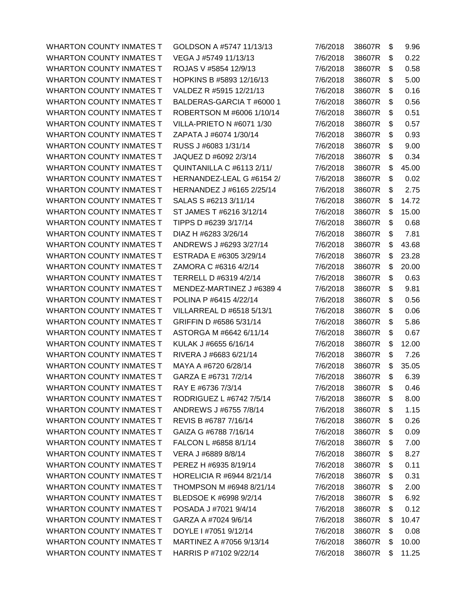WHARTON COUNTY INMATES T VEGA J #5749 11/13/13 7/6/2018 38607R \$ 0.22 WHARTON COUNTY INMATES T ROJAS V #5854 12/9/13 7/6/2018 38607R \$ 0.58 WHARTON COUNTY INMATES T HOPKINS B #5893 12/16/13 7/6/2018 38607R \$ 5.00 WHARTON COUNTY INMATES T VALDEZ R #5915 12/21/13 7/6/2018 38607R \$ 0.16 WHARTON COUNTY INMATES T BALDERAS-GARCIA T #6000 1 7/6/2018 38607R \$ 0.56 WHARTON COUNTY INMATES T ROBERTSON M #6006 1/10/14 7/6/2018 38607R \$ 0.51 WHARTON COUNTY INMATES T VILLA-PRIETO N #6071 1/30 7/6/2018 38607R \$ 0.57 WHARTON COUNTY INMATES T ZAPATA J #6074 1/30/14 7/6/2018 38607R \$ 0.93 WHARTON COUNTY INMATES T RUSS J #6083 1/31/14 7/6/2018 38607R \$ 9.00 WHARTON COUNTY INMATES T JAQUEZ D #6092 2/3/14 7/6/2018 38607R \$ 0.34 WHARTON COUNTY INMATES T QUINTANILLA C #6113 2/11/ 7/6/2018 38607R \$45.00 WHARTON COUNTY INMATES T HERNANDEZ-LEAL G #6154 2/ 7/6/2018 38607R \$ 0.02 WHARTON COUNTY INMATES T HERNANDEZ J #6165 2/25/14 7/6/2018 38607R \$ 2.75 WHARTON COUNTY INMATES T SALAS S #6213 3/11/14 7/6/2018 38607R \$ 14.72 WHARTON COUNTY INMATES T ST JAMES T #6216 3/12/14 7/6/2018 38607R \$ 15.00 WHARTON COUNTY INMATES T TIPPS D #6239 3/17/14 7/6/2018 38607R \$ 0.68 WHARTON COUNTY INMATES T DIAZ H #6283 3/26/14 7/6/2018 38607R \$ 7.81 WHARTON COUNTY INMATES T ANDREWS J #6293 3/27/14 7/6/2018 38607R \$43.68 WHARTON COUNTY INMATES T ESTRADA E #6305 3/29/14 7/6/2018 38607R \$23.28 WHARTON COUNTY INMATES T ZAMORA C #6316 4/2/14 7/6/2018 38607R \$20.00 WHARTON COUNTY INMATES T TERRELL D #6319 4/2/14  $\overline{7/6}/2018$  38607R \$ 0.63 WHARTON COUNTY INMATES T MENDEZ-MARTINEZ J #6389 4 7/6/2018 38607R \$ 9.81 WHARTON COUNTY INMATES T POLINA P #6415 4/22/14 7/6/2018 38607R \$ 0.56 WHARTON COUNTY INMATES T VILLARREAL D #6518 5/13/1 7/6/2018 38607R \$ 0.06 WHARTON COUNTY INMATES T GRIFFIN D #6586 5/31/14 7/6/2018 38607R \$ 5.86 WHARTON COUNTY INMATES T ASTORGA M #6642 6/11/14 7/6/2018 38607R \$ 0.67 WHARTON COUNTY INMATES T KULAK J #6655 6/16/14 7/6/2018 38607R \$12.00 WHARTON COUNTY INMATES T RIVERA J #6683 6/21/14 7/6/2018 38607R \$ 7.26 WHARTON COUNTY INMATES T MAYA A #6720 6/28/14 7/6/2018 38607R \$35.05 WHARTON COUNTY INMATES T GARZA E #6731 7/2/14 7/6/2018 38607R \$ 6.39 WHARTON COUNTY INMATES T RAY E #6736 7/3/14 7/6/2018 38607R \$ 0.46 WHARTON COUNTY INMATES T RODRIGUEZ L #6742 7/5/14 7/6/2018 38607R \$ 8.00 WHARTON COUNTY INMATES T ANDREWS J #6755 7/8/14 7/6/2018 38607R \$ 1.15 WHARTON COUNTY INMATES T REVIS B #6787 7/16/14 7/6/2018 38607R \$ 0.26 WHARTON COUNTY INMATES T GAIZA G #6788 7/16/14 7/6/2018 38607R \$ 0.09 WHARTON COUNTY INMATES T FALCON L #6858 8/1/14 7/6/2018 38607R \$ 7.00 WHARTON COUNTY INMATES T VERA J #6889 8/8/14 7/6/2018 38607R \$ 8.27 WHARTON COUNTY INMATES T PEREZ H #6935 8/19/14 7/6/2018 38607R \$ 0.11 WHARTON COUNTY INMATES T HORELICIA R #6944 8/21/14 7/6/2018 38607R \$ 0.31 WHARTON COUNTY INMATES T THOMPSON M #6948 8/21/14 7/6/2018 38607R \$ 2.00 WHARTON COUNTY INMATES T BLEDSOE K #6998 9/2/14 7/6/2018 38607R \$ 6.92 WHARTON COUNTY INMATES T POSADA J #7021 9/4/14 7/6/2018 38607R \$ 0.12 WHARTON COUNTY INMATES T GARZA A #7024 9/6/14 7/6/2018 38607R \$10.47 WHARTON COUNTY INMATES T DOYLE 1 #7051 9/12/14 7/6/2018 38607R \$ 0.08 WHARTON COUNTY INMATES T MARTINEZ A #7056 9/13/14 7/6/2018 38607R \$10.00 WHARTON COUNTY INMATES T HARRIS P #7102 9/22/14 7/6/2018 38607R \$ 11.25

WHARTON COUNTY INMATES T GOLDSON A #5747 11/13/13 7/6/2018 38607R \$ 9.96